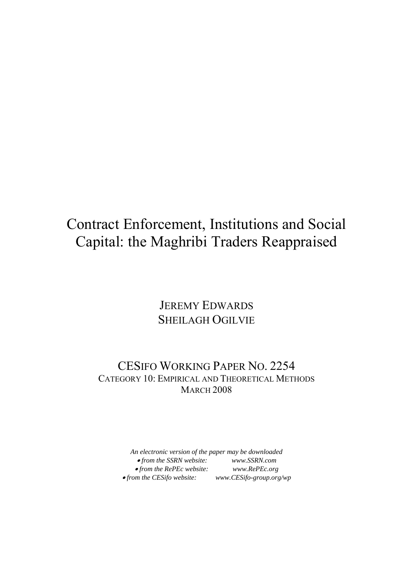# Contract Enforcement, Institutions and Social Capital: the Maghribi Traders Reappraised

### JEREMY EDWARDS SHEILAGH OGILVIE

### CESIFO WORKING PAPER NO. 2254 CATEGORY 10: EMPIRICAL AND THEORETICAL METHODS **MARCH 2008**

*An electronic version of the paper may be downloaded*  • *from the SSRN website: www.SSRN.com*  • *from the RePEc website: www.RePEc.org*  • from the CESifo website: www.CESifo-group.org/wp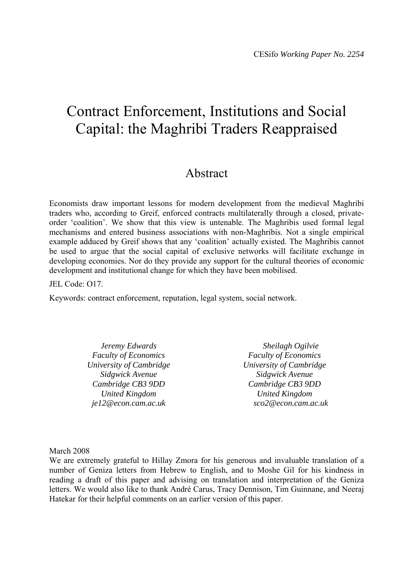## Contract Enforcement, Institutions and Social Capital: the Maghribi Traders Reappraised

### Abstract

Economists draw important lessons for modern development from the medieval Maghribi traders who, according to Greif, enforced contracts multilaterally through a closed, privateorder 'coalition'. We show that this view is untenable. The Maghribis used formal legal mechanisms and entered business associations with non-Maghribis. Not a single empirical example adduced by Greif shows that any 'coalition' actually existed. The Maghribis cannot be used to argue that the social capital of exclusive networks will facilitate exchange in developing economies. Nor do they provide any support for the cultural theories of economic development and institutional change for which they have been mobilised.

JEL Code: O17.

Keywords: contract enforcement, reputation, legal system, social network.

*Jeremy Edwards Faculty of Economics University of Cambridge Sidgwick Avenue Cambridge CB3 9DD United Kingdom je12@econ.cam.ac.uk* 

*Sheilagh Ogilvie Faculty of Economics University of Cambridge Sidgwick Avenue Cambridge CB3 9DD United Kingdom sco2@econ.cam.ac.uk* 

March 2008

We are extremely grateful to Hillay Zmora for his generous and invaluable translation of a number of Geniza letters from Hebrew to English, and to Moshe Gil for his kindness in reading a draft of this paper and advising on translation and interpretation of the Geniza letters. We would also like to thank André Carus, Tracy Dennison, Tim Guinnane, and Neeraj Hatekar for their helpful comments on an earlier version of this paper.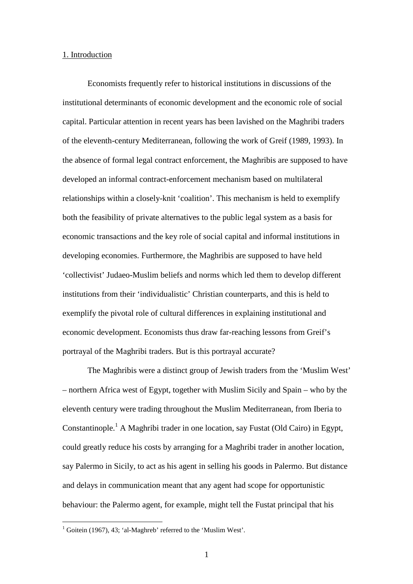#### 1. Introduction

Economists frequently refer to historical institutions in discussions of the institutional determinants of economic development and the economic role of social capital. Particular attention in recent years has been lavished on the Maghribi traders of the eleventh-century Mediterranean, following the work of Greif (1989, 1993). In the absence of formal legal contract enforcement, the Maghribis are supposed to have developed an informal contract-enforcement mechanism based on multilateral relationships within a closely-knit 'coalition'. This mechanism is held to exemplify both the feasibility of private alternatives to the public legal system as a basis for economic transactions and the key role of social capital and informal institutions in developing economies. Furthermore, the Maghribis are supposed to have held 'collectivist' Judaeo-Muslim beliefs and norms which led them to develop different institutions from their 'individualistic' Christian counterparts, and this is held to exemplify the pivotal role of cultural differences in explaining institutional and economic development. Economists thus draw far-reaching lessons from Greif's portrayal of the Maghribi traders. But is this portrayal accurate?

The Maghribis were a distinct group of Jewish traders from the 'Muslim West' – northern Africa west of Egypt, together with Muslim Sicily and Spain – who by the eleventh century were trading throughout the Muslim Mediterranean, from Iberia to Constantinople.<sup>1</sup> A Maghribi trader in one location, say Fustat (Old Cairo) in Egypt, could greatly reduce his costs by arranging for a Maghribi trader in another location, say Palermo in Sicily, to act as his agent in selling his goods in Palermo. But distance and delays in communication meant that any agent had scope for opportunistic behaviour: the Palermo agent, for example, might tell the Fustat principal that his

 1 Goitein (1967), 43; 'al-Maghreb' referred to the 'Muslim West'.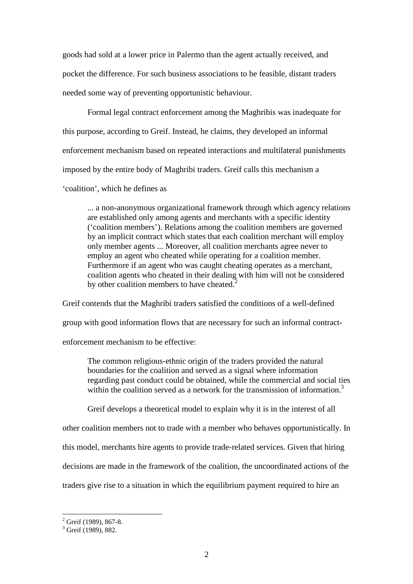goods had sold at a lower price in Palermo than the agent actually received, and pocket the difference. For such business associations to be feasible, distant traders needed some way of preventing opportunistic behaviour.

Formal legal contract enforcement among the Maghribis was inadequate for this purpose, according to Greif. Instead, he claims, they developed an informal enforcement mechanism based on repeated interactions and multilateral punishments imposed by the entire body of Maghribi traders. Greif calls this mechanism a 'coalition', which he defines as

... a non-anonymous organizational framework through which agency relations are established only among agents and merchants with a specific identity ('coalition members'). Relations among the coalition members are governed by an implicit contract which states that each coalition merchant will employ only member agents ... Moreover, all coalition merchants agree never to employ an agent who cheated while operating for a coalition member. Furthermore if an agent who was caught cheating operates as a merchant, coalition agents who cheated in their dealing with him will not be considered by other coalition members to have cheated.<sup>2</sup>

Greif contends that the Maghribi traders satisfied the conditions of a well-defined group with good information flows that are necessary for such an informal contractenforcement mechanism to be effective:

The common religious-ethnic origin of the traders provided the natural boundaries for the coalition and served as a signal where information regarding past conduct could be obtained, while the commercial and social ties within the coalition served as a network for the transmission of information.<sup>3</sup>

Greif develops a theoretical model to explain why it is in the interest of all

other coalition members not to trade with a member who behaves opportunistically. In

this model, merchants hire agents to provide trade-related services. Given that hiring

decisions are made in the framework of the coalition, the uncoordinated actions of the

traders give rise to a situation in which the equilibrium payment required to hire an

<sup>&</sup>lt;sup>2</sup> Greif (1989), 867-8.

<sup>&</sup>lt;sup>3</sup> Greif (1989), 882.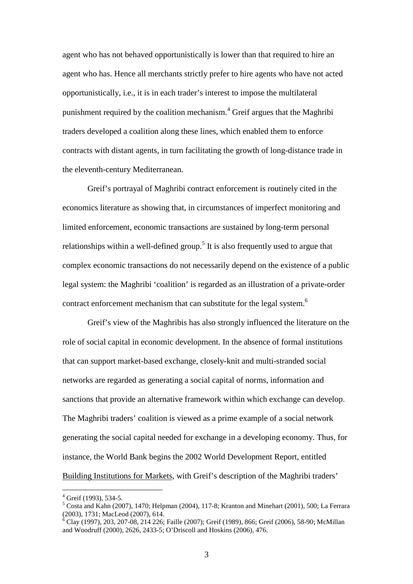agent who has not behaved opportunistically is lower than that required to hire an agent who has. Hence all merchants strictly prefer to hire agents who have not acted opportunistically, i.e., it is in each trader's interest to impose the multilateral punishment required by the coalition mechanism.<sup>4</sup> Greif argues that the Maghribi traders developed a coalition along these lines, which enabled them to enforce contracts with distant agents, in turn facilitating the growth of long-distance trade in the eleventh-century Mediterranean.

Greif's portrayal of Maghribi contract enforcement is routinely cited in the economics literature as showing that, in circumstances of imperfect monitoring and limited enforcement, economic transactions are sustained by long-term personal relationships within a well-defined group.<sup>5</sup> It is also frequently used to argue that complex economic transactions do not necessarily depend on the existence of a public legal system: the Maghribi 'coalition' is regarded as an illustration of a private-order contract enforcement mechanism that can substitute for the legal system.<sup>6</sup>

Greif's view of the Maghribis has also strongly influenced the literature on the role of social capital in economic development. In the absence of formal institutions that can support market-based exchange, closely-knit and multi-stranded social networks are regarded as generating a social capital of norms, information and sanctions that provide an alternative framework within which exchange can develop. The Maghribi traders' coalition is viewed as a prime example of a social network generating the social capital needed for exchange in a developing economy. Thus, for instance, the World Bank begins the 2002 World Development Report, entitled Building Institutions for Markets, with Greif's description of the Maghribi traders'

 4 Greif (1993), 534-5.

 $<sup>5</sup>$  Costa and Kahn (2007), 1470; Helpman (2004), 117-8; Kranton and Minehart (2001), 500; La Ferrara</sup> (2003), 1731; MacLeod (2007), 614.

<sup>&</sup>lt;sup>6</sup> Clay (1997), 203, 207-08, 214 226; Faille (2007); Greif (1989), 866; Greif (2006), 58-90; McMillan and Woodruff (2000), 2626, 2433-5; O'Driscoll and Hoskins (2006), 476.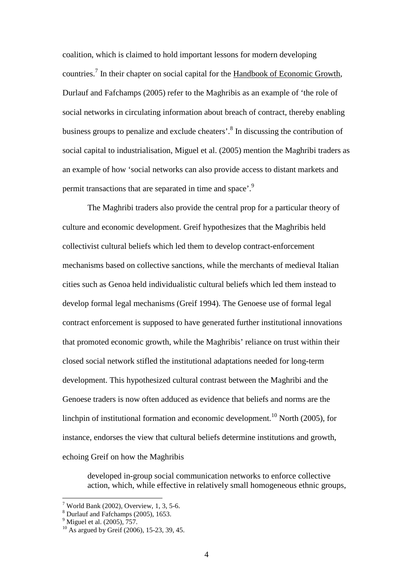coalition, which is claimed to hold important lessons for modern developing countries.<sup>7</sup> In their chapter on social capital for the Handbook of Economic Growth, Durlauf and Fafchamps (2005) refer to the Maghribis as an example of 'the role of social networks in circulating information about breach of contract, thereby enabling business groups to penalize and exclude cheaters'.<sup>8</sup> In discussing the contribution of social capital to industrialisation, Miguel et al. (2005) mention the Maghribi traders as an example of how 'social networks can also provide access to distant markets and permit transactions that are separated in time and space'.<sup>9</sup>

The Maghribi traders also provide the central prop for a particular theory of culture and economic development. Greif hypothesizes that the Maghribis held collectivist cultural beliefs which led them to develop contract-enforcement mechanisms based on collective sanctions, while the merchants of medieval Italian cities such as Genoa held individualistic cultural beliefs which led them instead to develop formal legal mechanisms (Greif 1994). The Genoese use of formal legal contract enforcement is supposed to have generated further institutional innovations that promoted economic growth, while the Maghribis' reliance on trust within their closed social network stifled the institutional adaptations needed for long-term development. This hypothesized cultural contrast between the Maghribi and the Genoese traders is now often adduced as evidence that beliefs and norms are the linchpin of institutional formation and economic development.<sup>10</sup> North (2005), for instance, endorses the view that cultural beliefs determine institutions and growth, echoing Greif on how the Maghribis

developed in-group social communication networks to enforce collective action, which, while effective in relatively small homogeneous ethnic groups,

 $7$  World Bank (2002), Overview, 1, 3, 5-6.

<sup>&</sup>lt;sup>8</sup> Durlauf and Fafchamps (2005), 1653.

 $9^9$  Miguel et al. (2005),  $757$ .

<sup>&</sup>lt;sup>10</sup> As argued by Greif (2006), 15-23, 39, 45.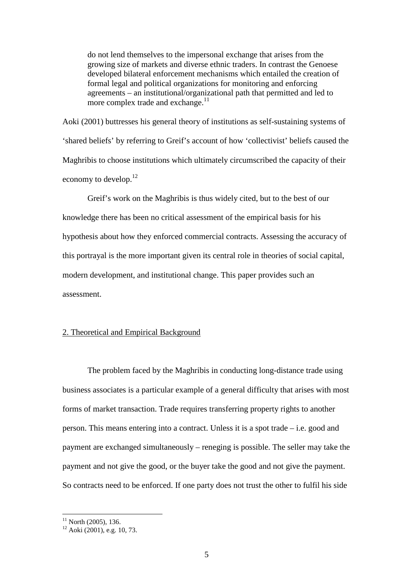do not lend themselves to the impersonal exchange that arises from the growing size of markets and diverse ethnic traders. In contrast the Genoese developed bilateral enforcement mechanisms which entailed the creation of formal legal and political organizations for monitoring and enforcing agreements – an institutional/organizational path that permitted and led to more complex trade and exchange.<sup>11</sup>

Aoki (2001) buttresses his general theory of institutions as self-sustaining systems of 'shared beliefs' by referring to Greif's account of how 'collectivist' beliefs caused the Maghribis to choose institutions which ultimately circumscribed the capacity of their economy to develop.<sup>12</sup>

Greif's work on the Maghribis is thus widely cited, but to the best of our knowledge there has been no critical assessment of the empirical basis for his hypothesis about how they enforced commercial contracts. Assessing the accuracy of this portrayal is the more important given its central role in theories of social capital, modern development, and institutional change. This paper provides such an assessment.

#### 2. Theoretical and Empirical Background

The problem faced by the Maghribis in conducting long-distance trade using business associates is a particular example of a general difficulty that arises with most forms of market transaction. Trade requires transferring property rights to another person. This means entering into a contract. Unless it is a spot trade – i.e. good and payment are exchanged simultaneously – reneging is possible. The seller may take the payment and not give the good, or the buyer take the good and not give the payment. So contracts need to be enforced. If one party does not trust the other to fulfil his side

 $11$  North (2005), 136.

 $12$  Aoki (2001), e.g. 10, 73.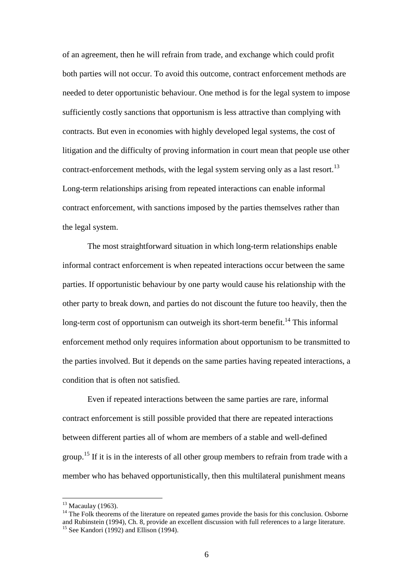of an agreement, then he will refrain from trade, and exchange which could profit both parties will not occur. To avoid this outcome, contract enforcement methods are needed to deter opportunistic behaviour. One method is for the legal system to impose sufficiently costly sanctions that opportunism is less attractive than complying with contracts. But even in economies with highly developed legal systems, the cost of litigation and the difficulty of proving information in court mean that people use other contract-enforcement methods, with the legal system serving only as a last resort.<sup>13</sup> Long-term relationships arising from repeated interactions can enable informal contract enforcement, with sanctions imposed by the parties themselves rather than the legal system.

The most straightforward situation in which long-term relationships enable informal contract enforcement is when repeated interactions occur between the same parties. If opportunistic behaviour by one party would cause his relationship with the other party to break down, and parties do not discount the future too heavily, then the long-term cost of opportunism can outweigh its short-term benefit.<sup>14</sup> This informal enforcement method only requires information about opportunism to be transmitted to the parties involved. But it depends on the same parties having repeated interactions, a condition that is often not satisfied.

Even if repeated interactions between the same parties are rare, informal contract enforcement is still possible provided that there are repeated interactions between different parties all of whom are members of a stable and well-defined group.<sup>15</sup> If it is in the interests of all other group members to refrain from trade with a member who has behaved opportunistically, then this multilateral punishment means

 $13$  Macaulay (1963).

<sup>&</sup>lt;sup>14</sup> The Folk theorems of the literature on repeated games provide the basis for this conclusion. Osborne and Rubinstein (1994), Ch. 8, provide an excellent discussion with full references to a large literature.  $15$  See Kandori (1992) and Ellison (1994).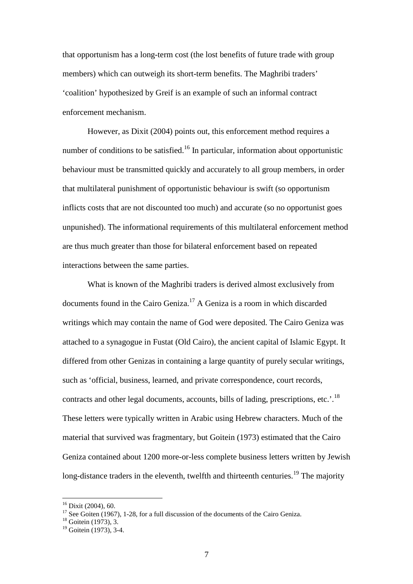that opportunism has a long-term cost (the lost benefits of future trade with group members) which can outweigh its short-term benefits. The Maghribi traders' 'coalition' hypothesized by Greif is an example of such an informal contract enforcement mechanism.

However, as Dixit (2004) points out, this enforcement method requires a number of conditions to be satisfied.<sup>16</sup> In particular, information about opportunistic behaviour must be transmitted quickly and accurately to all group members, in order that multilateral punishment of opportunistic behaviour is swift (so opportunism inflicts costs that are not discounted too much) and accurate (so no opportunist goes unpunished). The informational requirements of this multilateral enforcement method are thus much greater than those for bilateral enforcement based on repeated interactions between the same parties.

What is known of the Maghribi traders is derived almost exclusively from documents found in the Cairo Geniza.<sup>17</sup> A Geniza is a room in which discarded writings which may contain the name of God were deposited. The Cairo Geniza was attached to a synagogue in Fustat (Old Cairo), the ancient capital of Islamic Egypt. It differed from other Genizas in containing a large quantity of purely secular writings, such as 'official, business, learned, and private correspondence, court records, contracts and other legal documents, accounts, bills of lading, prescriptions, etc.'.<sup>18</sup> These letters were typically written in Arabic using Hebrew characters. Much of the material that survived was fragmentary, but Goitein (1973) estimated that the Cairo Geniza contained about 1200 more-or-less complete business letters written by Jewish long-distance traders in the eleventh, twelfth and thirteenth centuries.<sup>19</sup> The majority

 $16$  Dixit (2004), 60.

 $17$  See Goiten (1967), 1-28, for a full discussion of the documents of the Cairo Geniza.

 $18$  Goitein (1973), 3.

<sup>&</sup>lt;sup>19</sup> Goitein (1973), 3-4.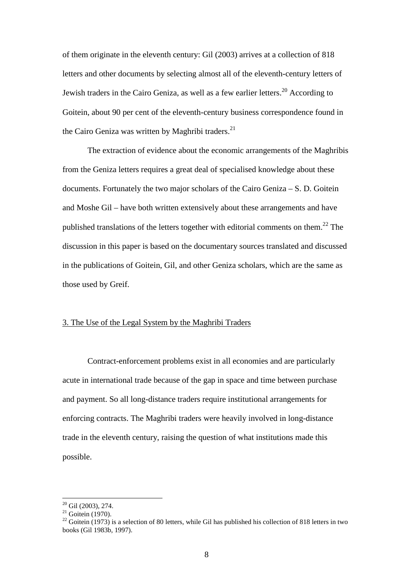of them originate in the eleventh century: Gil (2003) arrives at a collection of 818 letters and other documents by selecting almost all of the eleventh-century letters of Jewish traders in the Cairo Geniza, as well as a few earlier letters.<sup>20</sup> According to Goitein, about 90 per cent of the eleventh-century business correspondence found in the Cairo Geniza was written by Maghribi traders.<sup>21</sup>

The extraction of evidence about the economic arrangements of the Maghribis from the Geniza letters requires a great deal of specialised knowledge about these documents. Fortunately the two major scholars of the Cairo Geniza – S. D. Goitein and Moshe Gil – have both written extensively about these arrangements and have published translations of the letters together with editorial comments on them.<sup>22</sup> The discussion in this paper is based on the documentary sources translated and discussed in the publications of Goitein, Gil, and other Geniza scholars, which are the same as those used by Greif.

#### 3. The Use of the Legal System by the Maghribi Traders

Contract-enforcement problems exist in all economies and are particularly acute in international trade because of the gap in space and time between purchase and payment. So all long-distance traders require institutional arrangements for enforcing contracts. The Maghribi traders were heavily involved in long-distance trade in the eleventh century, raising the question of what institutions made this possible.

 $20$  Gil (2003), 274.

 $21$  Goitein (1970).

<sup>&</sup>lt;sup>22</sup> Goitein (1973) is a selection of 80 letters, while Gil has published his collection of 818 letters in two books (Gil 1983b, 1997).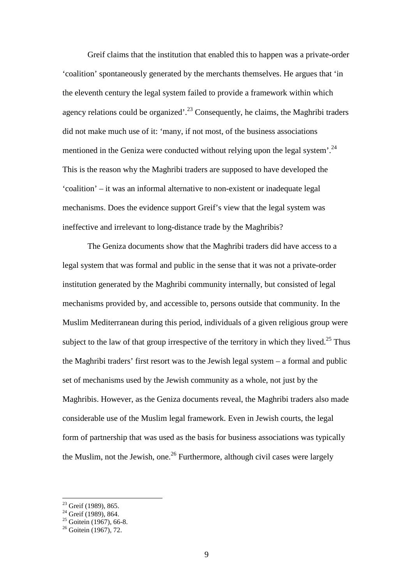Greif claims that the institution that enabled this to happen was a private-order 'coalition' spontaneously generated by the merchants themselves. He argues that 'in the eleventh century the legal system failed to provide a framework within which agency relations could be organized'.<sup>23</sup> Consequently, he claims, the Maghribi traders did not make much use of it: 'many, if not most, of the business associations mentioned in the Geniza were conducted without relying upon the legal system'.<sup>24</sup> This is the reason why the Maghribi traders are supposed to have developed the 'coalition' – it was an informal alternative to non-existent or inadequate legal mechanisms. Does the evidence support Greif's view that the legal system was ineffective and irrelevant to long-distance trade by the Maghribis?

The Geniza documents show that the Maghribi traders did have access to a legal system that was formal and public in the sense that it was not a private-order institution generated by the Maghribi community internally, but consisted of legal mechanisms provided by, and accessible to, persons outside that community. In the Muslim Mediterranean during this period, individuals of a given religious group were subject to the law of that group irrespective of the territory in which they lived.<sup>25</sup> Thus the Maghribi traders' first resort was to the Jewish legal system – a formal and public set of mechanisms used by the Jewish community as a whole, not just by the Maghribis. However, as the Geniza documents reveal, the Maghribi traders also made considerable use of the Muslim legal framework. Even in Jewish courts, the legal form of partnership that was used as the basis for business associations was typically the Muslim, not the Jewish, one.<sup>26</sup> Furthermore, although civil cases were largely

<sup>&</sup>lt;sup>23</sup> Greif (1989), 865.

 $24$  Greif (1989), 864.

 $25$  Goitein (1967), 66-8.

 $26$  Goitein (1967), 72.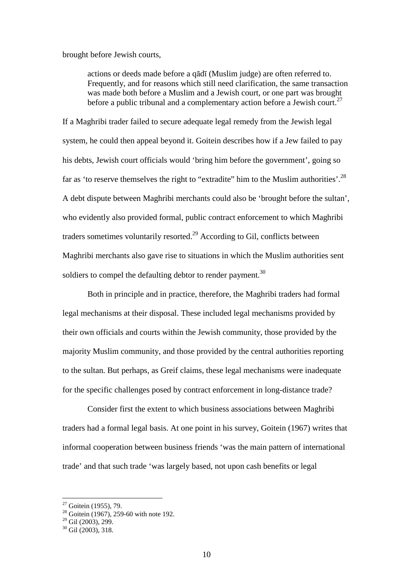brought before Jewish courts,

actions or deeds made before a qādī (Muslim judge) are often referred to. Frequently, and for reasons which still need clarification, the same transaction was made both before a Muslim and a Jewish court, or one part was brought before a public tribunal and a complementary action before a Jewish court.<sup>27</sup>

If a Maghribi trader failed to secure adequate legal remedy from the Jewish legal system, he could then appeal beyond it. Goitein describes how if a Jew failed to pay his debts, Jewish court officials would 'bring him before the government', going so far as 'to reserve themselves the right to "extradite" him to the Muslim authorities'.<sup>28</sup> A debt dispute between Maghribi merchants could also be 'brought before the sultan', who evidently also provided formal, public contract enforcement to which Maghribi traders sometimes voluntarily resorted.<sup>29</sup> According to Gil, conflicts between Maghribi merchants also gave rise to situations in which the Muslim authorities sent soldiers to compel the defaulting debtor to render payment.<sup>30</sup>

Both in principle and in practice, therefore, the Maghribi traders had formal legal mechanisms at their disposal. These included legal mechanisms provided by their own officials and courts within the Jewish community, those provided by the majority Muslim community, and those provided by the central authorities reporting to the sultan. But perhaps, as Greif claims, these legal mechanisms were inadequate for the specific challenges posed by contract enforcement in long-distance trade?

Consider first the extent to which business associations between Maghribi traders had a formal legal basis. At one point in his survey, Goitein (1967) writes that informal cooperation between business friends 'was the main pattern of international trade' and that such trade 'was largely based, not upon cash benefits or legal

 $27$  Goitein (1955), 79.

 $28 \text{ Goitein}$  (1967), 259-60 with note 192.

 $29$  Gil (2003), 299.

 $30$  Gil (2003), 318.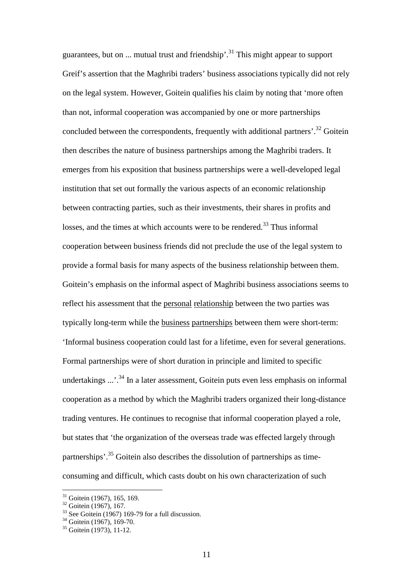guarantees, but on ... mutual trust and friendship'.<sup>31</sup> This might appear to support Greif's assertion that the Maghribi traders' business associations typically did not rely on the legal system. However, Goitein qualifies his claim by noting that 'more often than not, informal cooperation was accompanied by one or more partnerships concluded between the correspondents, frequently with additional partners'.<sup>32</sup> Goitein then describes the nature of business partnerships among the Maghribi traders. It emerges from his exposition that business partnerships were a well-developed legal institution that set out formally the various aspects of an economic relationship between contracting parties, such as their investments, their shares in profits and losses, and the times at which accounts were to be rendered.<sup>33</sup> Thus informal cooperation between business friends did not preclude the use of the legal system to provide a formal basis for many aspects of the business relationship between them. Goitein's emphasis on the informal aspect of Maghribi business associations seems to reflect his assessment that the personal relationship between the two parties was typically long-term while the business partnerships between them were short-term: 'Informal business cooperation could last for a lifetime, even for several generations. Formal partnerships were of short duration in principle and limited to specific undertakings ...'.<sup>34</sup> In a later assessment, Goitein puts even less emphasis on informal cooperation as a method by which the Maghribi traders organized their long-distance trading ventures. He continues to recognise that informal cooperation played a role, but states that 'the organization of the overseas trade was effected largely through partnerships'.<sup>35</sup> Goitein also describes the dissolution of partnerships as timeconsuming and difficult, which casts doubt on his own characterization of such

 $31$  Goitein (1967), 165, 169.

<sup>&</sup>lt;sup>32</sup> Goitein (1967), 167.

 $33$  See Goitein (1967) 169-79 for a full discussion.

 $34$  Goitein (1967), 169-70.

<sup>&</sup>lt;sup>35</sup> Goitein (1973), 11-12.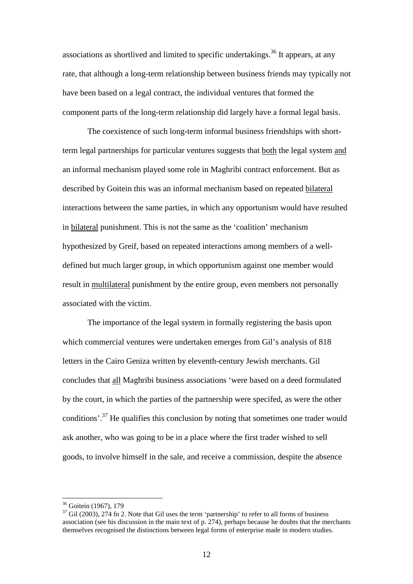associations as shortlived and limited to specific undertakings.<sup>36</sup> It appears, at any rate, that although a long-term relationship between business friends may typically not have been based on a legal contract, the individual ventures that formed the component parts of the long-term relationship did largely have a formal legal basis.

The coexistence of such long-term informal business friendships with shortterm legal partnerships for particular ventures suggests that both the legal system and an informal mechanism played some role in Maghribi contract enforcement. But as described by Goitein this was an informal mechanism based on repeated bilateral interactions between the same parties, in which any opportunism would have resulted in bilateral punishment. This is not the same as the 'coalition' mechanism hypothesized by Greif, based on repeated interactions among members of a welldefined but much larger group, in which opportunism against one member would result in multilateral punishment by the entire group, even members not personally associated with the victim.

The importance of the legal system in formally registering the basis upon which commercial ventures were undertaken emerges from Gil's analysis of 818 letters in the Cairo Geniza written by eleventh-century Jewish merchants. Gil concludes that all Maghribi business associations 'were based on a deed formulated by the court, in which the parties of the partnership were specifed, as were the other conditions'.<sup>37</sup> He qualifies this conclusion by noting that sometimes one trader would ask another, who was going to be in a place where the first trader wished to sell goods, to involve himself in the sale, and receive a commission, despite the absence

<sup>36</sup> Goitein (1967), 179

 $37$  Gil (2003), 274 fn 2. Note that Gil uses the term 'partnership' to refer to all forms of business association (see his discussion in the main text of p. 274), perhaps because he doubts that the merchants themselves recognised the distinctions between legal forms of enterprise made in modern studies.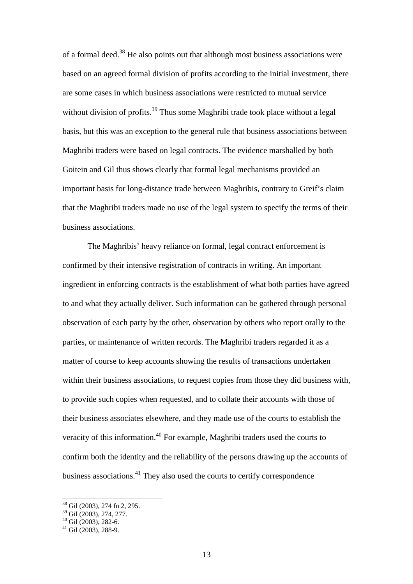of a formal deed.<sup>38</sup> He also points out that although most business associations were based on an agreed formal division of profits according to the initial investment, there are some cases in which business associations were restricted to mutual service without division of profits.<sup>39</sup> Thus some Maghribi trade took place without a legal basis, but this was an exception to the general rule that business associations between Maghribi traders were based on legal contracts. The evidence marshalled by both Goitein and Gil thus shows clearly that formal legal mechanisms provided an important basis for long-distance trade between Maghribis, contrary to Greif's claim that the Maghribi traders made no use of the legal system to specify the terms of their business associations.

The Maghribis' heavy reliance on formal, legal contract enforcement is confirmed by their intensive registration of contracts in writing. An important ingredient in enforcing contracts is the establishment of what both parties have agreed to and what they actually deliver. Such information can be gathered through personal observation of each party by the other, observation by others who report orally to the parties, or maintenance of written records. The Maghribi traders regarded it as a matter of course to keep accounts showing the results of transactions undertaken within their business associations, to request copies from those they did business with, to provide such copies when requested, and to collate their accounts with those of their business associates elsewhere, and they made use of the courts to establish the veracity of this information.<sup>40</sup> For example, Maghribi traders used the courts to confirm both the identity and the reliability of the persons drawing up the accounts of business associations.<sup>41</sup> They also used the courts to certify correspondence

<sup>38</sup> Gil (2003), 274 fn 2, 295.

<sup>39</sup> Gil (2003), 274, 277.

 $40$  Gil (2003), 282-6.

<sup>41</sup> Gil (2003), 288-9.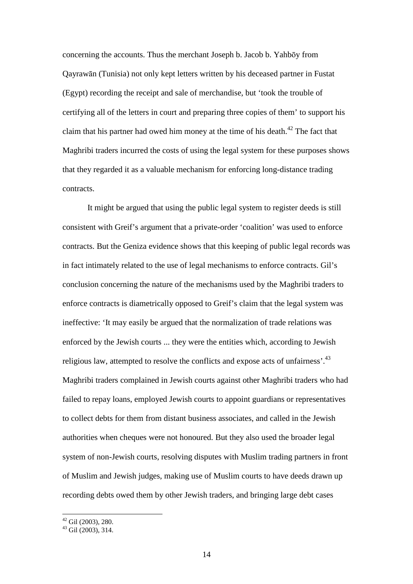concerning the accounts. Thus the merchant Joseph b. Jacob b. Yahbōy from Qayrawān (Tunisia) not only kept letters written by his deceased partner in Fustat (Egypt) recording the receipt and sale of merchandise, but 'took the trouble of certifying all of the letters in court and preparing three copies of them' to support his claim that his partner had owed him money at the time of his death.<sup>42</sup> The fact that Maghribi traders incurred the costs of using the legal system for these purposes shows that they regarded it as a valuable mechanism for enforcing long-distance trading contracts.

It might be argued that using the public legal system to register deeds is still consistent with Greif's argument that a private-order 'coalition' was used to enforce contracts. But the Geniza evidence shows that this keeping of public legal records was in fact intimately related to the use of legal mechanisms to enforce contracts. Gil's conclusion concerning the nature of the mechanisms used by the Maghribi traders to enforce contracts is diametrically opposed to Greif's claim that the legal system was ineffective: 'It may easily be argued that the normalization of trade relations was enforced by the Jewish courts ... they were the entities which, according to Jewish religious law, attempted to resolve the conflicts and expose acts of unfairness'.<sup>43</sup> Maghribi traders complained in Jewish courts against other Maghribi traders who had failed to repay loans, employed Jewish courts to appoint guardians or representatives to collect debts for them from distant business associates, and called in the Jewish authorities when cheques were not honoured. But they also used the broader legal system of non-Jewish courts, resolving disputes with Muslim trading partners in front of Muslim and Jewish judges, making use of Muslim courts to have deeds drawn up recording debts owed them by other Jewish traders, and bringing large debt cases

 $42$  Gil (2003), 280.

 $43$  Gil (2003), 314.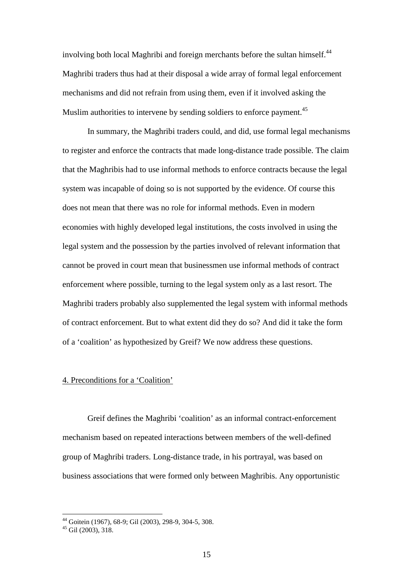involving both local Maghribi and foreign merchants before the sultan himself.<sup>44</sup> Maghribi traders thus had at their disposal a wide array of formal legal enforcement mechanisms and did not refrain from using them, even if it involved asking the Muslim authorities to intervene by sending soldiers to enforce payment.<sup>45</sup>

In summary, the Maghribi traders could, and did, use formal legal mechanisms to register and enforce the contracts that made long-distance trade possible. The claim that the Maghribis had to use informal methods to enforce contracts because the legal system was incapable of doing so is not supported by the evidence. Of course this does not mean that there was no role for informal methods. Even in modern economies with highly developed legal institutions, the costs involved in using the legal system and the possession by the parties involved of relevant information that cannot be proved in court mean that businessmen use informal methods of contract enforcement where possible, turning to the legal system only as a last resort. The Maghribi traders probably also supplemented the legal system with informal methods of contract enforcement. But to what extent did they do so? And did it take the form of a 'coalition' as hypothesized by Greif? We now address these questions.

#### 4. Preconditions for a 'Coalition'

Greif defines the Maghribi 'coalition' as an informal contract-enforcement mechanism based on repeated interactions between members of the well-defined group of Maghribi traders. Long-distance trade, in his portrayal, was based on business associations that were formed only between Maghribis. Any opportunistic

<sup>44</sup> Goitein (1967), 68-9; Gil (2003), 298-9, 304-5, 308.

 $45$  Gil (2003), 318.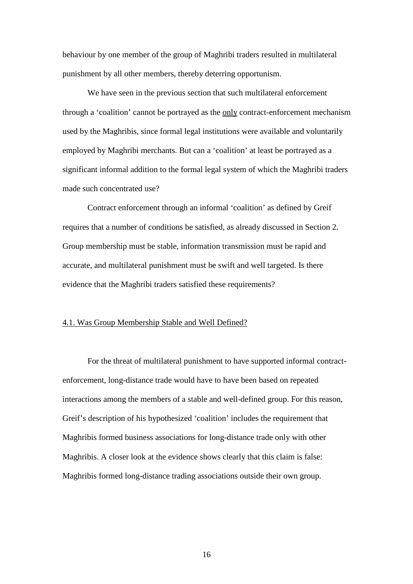behaviour by one member of the group of Maghribi traders resulted in multilateral punishment by all other members, thereby deterring opportunism.

We have seen in the previous section that such multilateral enforcement through a 'coalition' cannot be portrayed as the only contract-enforcement mechanism used by the Maghribis, since formal legal institutions were available and voluntarily employed by Maghribi merchants. But can a 'coalition' at least be portrayed as a significant informal addition to the formal legal system of which the Maghribi traders made such concentrated use?

Contract enforcement through an informal 'coalition' as defined by Greif requires that a number of conditions be satisfied, as already discussed in Section 2. Group membership must be stable, information transmission must be rapid and accurate, and multilateral punishment must be swift and well targeted. Is there evidence that the Maghribi traders satisfied these requirements?

#### 4.1. Was Group Membership Stable and Well Defined?

For the threat of multilateral punishment to have supported informal contractenforcement, long-distance trade would have to have been based on repeated interactions among the members of a stable and well-defined group. For this reason, Greif's description of his hypothesized 'coalition' includes the requirement that Maghribis formed business associations for long-distance trade only with other Maghribis. A closer look at the evidence shows clearly that this claim is false: Maghribis formed long-distance trading associations outside their own group.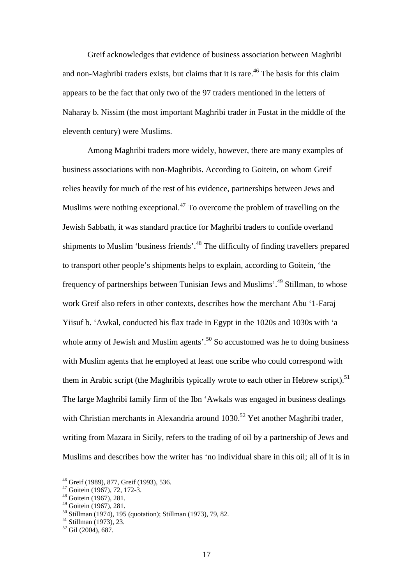Greif acknowledges that evidence of business association between Maghribi and non-Maghribi traders exists, but claims that it is rare.<sup>46</sup> The basis for this claim appears to be the fact that only two of the 97 traders mentioned in the letters of Naharay b. Nissim (the most important Maghribi trader in Fustat in the middle of the eleventh century) were Muslims.

Among Maghribi traders more widely, however, there are many examples of business associations with non-Maghribis. According to Goitein, on whom Greif relies heavily for much of the rest of his evidence, partnerships between Jews and Muslims were nothing exceptional.<sup>47</sup> To overcome the problem of travelling on the Jewish Sabbath, it was standard practice for Maghribi traders to confide overland shipments to Muslim 'business friends'.<sup>48</sup> The difficulty of finding travellers prepared to transport other people's shipments helps to explain, according to Goitein, 'the frequency of partnerships between Tunisian Jews and Muslims'.<sup>49</sup> Stillman, to whose work Greif also refers in other contexts, describes how the merchant Abu '1-Faraj Yiisuf b. 'Awkal, conducted his flax trade in Egypt in the 1020s and 1030s with 'a whole army of Jewish and Muslim agents'.<sup>50</sup> So accustomed was he to doing business with Muslim agents that he employed at least one scribe who could correspond with them in Arabic script (the Maghribis typically wrote to each other in Hebrew script).<sup>51</sup> The large Maghribi family firm of the Ibn 'Awkals was engaged in business dealings with Christian merchants in Alexandria around  $1030$ <sup>52</sup> Yet another Maghribi trader, writing from Mazara in Sicily, refers to the trading of oil by a partnership of Jews and Muslims and describes how the writer has 'no individual share in this oil; all of it is in

<sup>46</sup> Greif (1989), 877, Greif (1993), 536.

 $47$  Goitein (1967), 72, 172-3.

<sup>48</sup> Goitein (1967), 281.

<sup>49</sup> Goitein (1967), 281.

<sup>50</sup> Stillman (1974), 195 (quotation); Stillman (1973), 79, 82.

<sup>51</sup> Stillman (1973), 23.

<sup>52</sup> Gil (2004), 687.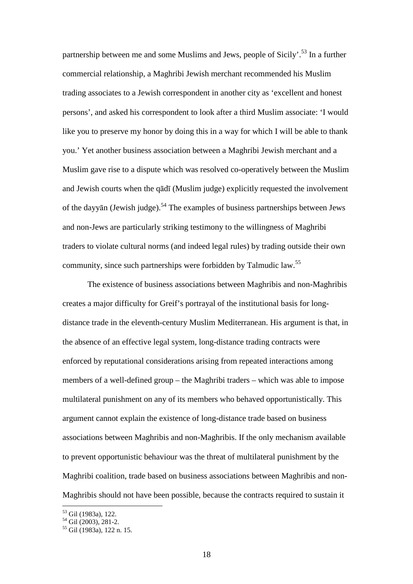partnership between me and some Muslims and Jews, people of Sicily'.<sup>53</sup> In a further commercial relationship, a Maghribi Jewish merchant recommended his Muslim trading associates to a Jewish correspondent in another city as 'excellent and honest persons', and asked his correspondent to look after a third Muslim associate: 'I would like you to preserve my honor by doing this in a way for which I will be able to thank you.' Yet another business association between a Maghribi Jewish merchant and a Muslim gave rise to a dispute which was resolved co-operatively between the Muslim and Jewish courts when the qādī (Muslim judge) explicitly requested the involvement of the dayyan (Jewish judge).<sup>54</sup> The examples of business partnerships between Jews and non-Jews are particularly striking testimony to the willingness of Maghribi traders to violate cultural norms (and indeed legal rules) by trading outside their own community, since such partnerships were forbidden by Talmudic law.<sup>55</sup>

The existence of business associations between Maghribis and non-Maghribis creates a major difficulty for Greif's portrayal of the institutional basis for longdistance trade in the eleventh-century Muslim Mediterranean. His argument is that, in the absence of an effective legal system, long-distance trading contracts were enforced by reputational considerations arising from repeated interactions among members of a well-defined group – the Maghribi traders – which was able to impose multilateral punishment on any of its members who behaved opportunistically. This argument cannot explain the existence of long-distance trade based on business associations between Maghribis and non-Maghribis. If the only mechanism available to prevent opportunistic behaviour was the threat of multilateral punishment by the Maghribi coalition, trade based on business associations between Maghribis and non-Maghribis should not have been possible, because the contracts required to sustain it

<sup>53</sup> Gil (1983a), 122.

 $54$  Gil (2003), 281-2.

 $55$  Gil (1983a), 122 n. 15.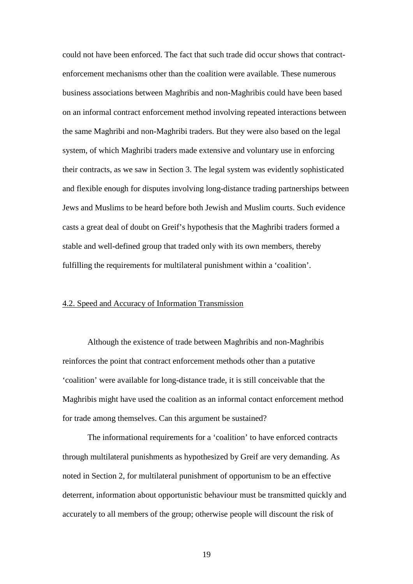could not have been enforced. The fact that such trade did occur shows that contractenforcement mechanisms other than the coalition were available. These numerous business associations between Maghribis and non-Maghribis could have been based on an informal contract enforcement method involving repeated interactions between the same Maghribi and non-Maghribi traders. But they were also based on the legal system, of which Maghribi traders made extensive and voluntary use in enforcing their contracts, as we saw in Section 3. The legal system was evidently sophisticated and flexible enough for disputes involving long-distance trading partnerships between Jews and Muslims to be heard before both Jewish and Muslim courts. Such evidence casts a great deal of doubt on Greif's hypothesis that the Maghribi traders formed a stable and well-defined group that traded only with its own members, thereby fulfilling the requirements for multilateral punishment within a 'coalition'.

#### 4.2. Speed and Accuracy of Information Transmission

Although the existence of trade between Maghribis and non-Maghribis reinforces the point that contract enforcement methods other than a putative 'coalition' were available for long-distance trade, it is still conceivable that the Maghribis might have used the coalition as an informal contact enforcement method for trade among themselves. Can this argument be sustained?

The informational requirements for a 'coalition' to have enforced contracts through multilateral punishments as hypothesized by Greif are very demanding. As noted in Section 2, for multilateral punishment of opportunism to be an effective deterrent, information about opportunistic behaviour must be transmitted quickly and accurately to all members of the group; otherwise people will discount the risk of

19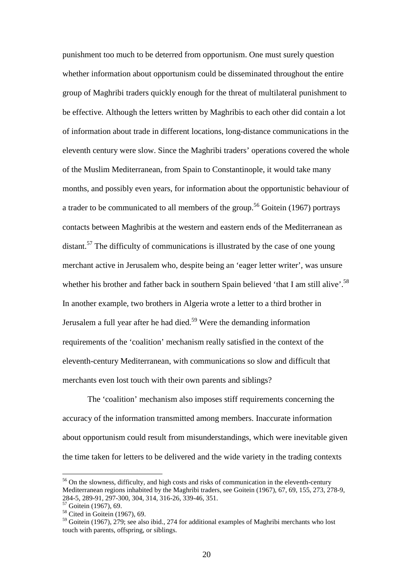punishment too much to be deterred from opportunism. One must surely question whether information about opportunism could be disseminated throughout the entire group of Maghribi traders quickly enough for the threat of multilateral punishment to be effective. Although the letters written by Maghribis to each other did contain a lot of information about trade in different locations, long-distance communications in the eleventh century were slow. Since the Maghribi traders' operations covered the whole of the Muslim Mediterranean, from Spain to Constantinople, it would take many months, and possibly even years, for information about the opportunistic behaviour of a trader to be communicated to all members of the group.<sup>56</sup> Goitein (1967) portrays contacts between Maghribis at the western and eastern ends of the Mediterranean as distant.<sup>57</sup> The difficulty of communications is illustrated by the case of one young merchant active in Jerusalem who, despite being an 'eager letter writer', was unsure whether his brother and father back in southern Spain believed 'that I am still alive'.<sup>58</sup> In another example, two brothers in Algeria wrote a letter to a third brother in Jerusalem a full year after he had died.<sup>59</sup> Were the demanding information requirements of the 'coalition' mechanism really satisfied in the context of the eleventh-century Mediterranean, with communications so slow and difficult that merchants even lost touch with their own parents and siblings?

The 'coalition' mechanism also imposes stiff requirements concerning the accuracy of the information transmitted among members. Inaccurate information about opportunism could result from misunderstandings, which were inevitable given the time taken for letters to be delivered and the wide variety in the trading contexts

<sup>&</sup>lt;sup>56</sup> On the slowness, difficulty, and high costs and risks of communication in the eleventh-century Mediterranean regions inhabited by the Maghribi traders, see Goitein (1967), 67, 69, 155, 273, 278-9, 284-5, 289-91, 297-300, 304, 314, 316-26, 339-46, 351.

<sup>&</sup>lt;sup>57</sup> Goitein (1967), 69.

 $58$  Cited in Goitein (1967), 69.

<sup>&</sup>lt;sup>59</sup> Goitein (1967), 279; see also ibid., 274 for additional examples of Maghribi merchants who lost touch with parents, offspring, or siblings.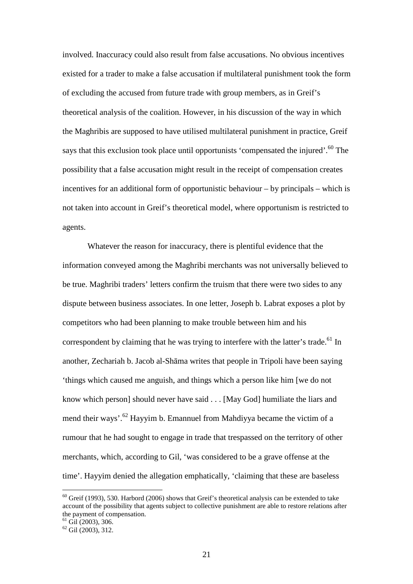involved. Inaccuracy could also result from false accusations. No obvious incentives existed for a trader to make a false accusation if multilateral punishment took the form of excluding the accused from future trade with group members, as in Greif's theoretical analysis of the coalition. However, in his discussion of the way in which the Maghribis are supposed to have utilised multilateral punishment in practice, Greif says that this exclusion took place until opportunists 'compensated the injured'.<sup>60</sup> The possibility that a false accusation might result in the receipt of compensation creates incentives for an additional form of opportunistic behaviour – by principals – which is not taken into account in Greif's theoretical model, where opportunism is restricted to agents.

Whatever the reason for inaccuracy, there is plentiful evidence that the information conveyed among the Maghribi merchants was not universally believed to be true. Maghribi traders' letters confirm the truism that there were two sides to any dispute between business associates. In one letter, Joseph b. Labrat exposes a plot by competitors who had been planning to make trouble between him and his correspondent by claiming that he was trying to interfere with the latter's trade.<sup>61</sup> In another, Zechariah b. Jacob al-Shāma writes that people in Tripoli have been saying 'things which caused me anguish, and things which a person like him [we do not know which person] should never have said . . . [May God] humiliate the liars and mend their ways'.<sup>62</sup> Hayyim b. Emannuel from Mahdiyya became the victim of a rumour that he had sought to engage in trade that trespassed on the territory of other merchants, which, according to Gil, 'was considered to be a grave offense at the time'. Hayyim denied the allegation emphatically, 'claiming that these are baseless

 $60$  Greif (1993), 530. Harbord (2006) shows that Greif's theoretical analysis can be extended to take account of the possibility that agents subject to collective punishment are able to restore relations after the payment of compensation.

 $61$  Gil (2003), 306.

 $62$  Gil (2003), 312.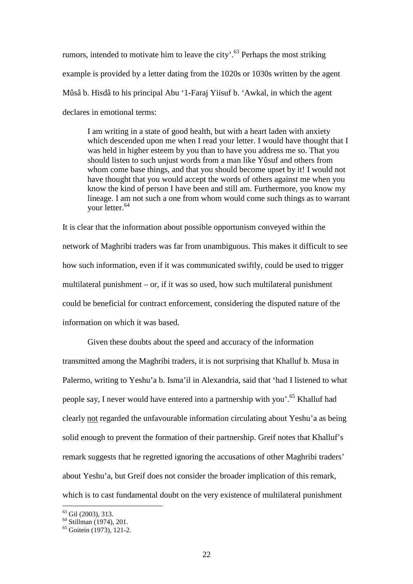rumors, intended to motivate him to leave the city'.<sup>63</sup> Perhaps the most striking example is provided by a letter dating from the 1020s or 1030s written by the agent Mûsâ b. Hisdâ to his principal Abu '1-Faraj Yiisuf b. 'Awkal, in which the agent declares in emotional terms:

I am writing in a state of good health, but with a heart laden with anxiety which descended upon me when I read your letter. I would have thought that I was held in higher esteem by you than to have you address me so. That you should listen to such unjust words from a man like Yûsuf and others from whom come base things, and that you should become upset by it! I would not have thought that you would accept the words of others against me when you know the kind of person I have been and still am. Furthermore, you know my lineage. I am not such a one from whom would come such things as to warrant your letter.<sup>64</sup>

It is clear that the information about possible opportunism conveyed within the network of Maghribi traders was far from unambiguous. This makes it difficult to see how such information, even if it was communicated swiftly, could be used to trigger multilateral punishment – or, if it was so used, how such multilateral punishment could be beneficial for contract enforcement, considering the disputed nature of the information on which it was based.

Given these doubts about the speed and accuracy of the information transmitted among the Maghribi traders, it is not surprising that Khalluf b. Musa in Palermo, writing to Yeshu'a b. Isma'il in Alexandria, said that 'had I listened to what people say, I never would have entered into a partnership with you'.<sup>65</sup> Khalluf had clearly not regarded the unfavourable information circulating about Yeshu'a as being solid enough to prevent the formation of their partnership. Greif notes that Khalluf's remark suggests that he regretted ignoring the accusations of other Maghribi traders' about Yeshu'a, but Greif does not consider the broader implication of this remark, which is to cast fundamental doubt on the very existence of multilateral punishment

 $^{63}$  Gil (2003), 313.

 $64$  Stillman (1974), 201.

 $65$  Goitein (1973), 121-2.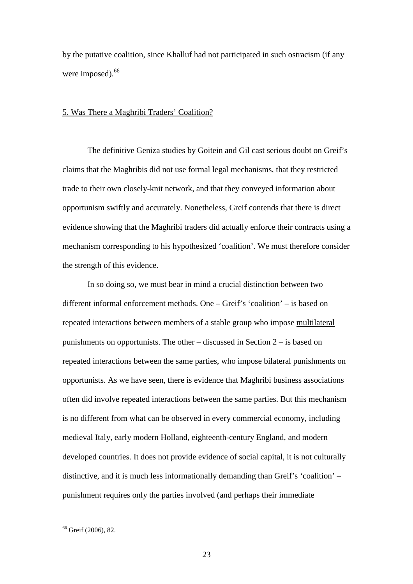by the putative coalition, since Khalluf had not participated in such ostracism (if any were imposed).<sup>66</sup>

#### 5. Was There a Maghribi Traders' Coalition?

The definitive Geniza studies by Goitein and Gil cast serious doubt on Greif's claims that the Maghribis did not use formal legal mechanisms, that they restricted trade to their own closely-knit network, and that they conveyed information about opportunism swiftly and accurately. Nonetheless, Greif contends that there is direct evidence showing that the Maghribi traders did actually enforce their contracts using a mechanism corresponding to his hypothesized 'coalition'. We must therefore consider the strength of this evidence.

In so doing so, we must bear in mind a crucial distinction between two different informal enforcement methods. One – Greif's 'coalition' – is based on repeated interactions between members of a stable group who impose multilateral punishments on opportunists. The other – discussed in Section 2 – is based on repeated interactions between the same parties, who impose bilateral punishments on opportunists. As we have seen, there is evidence that Maghribi business associations often did involve repeated interactions between the same parties. But this mechanism is no different from what can be observed in every commercial economy, including medieval Italy, early modern Holland, eighteenth-century England, and modern developed countries. It does not provide evidence of social capital, it is not culturally distinctive, and it is much less informationally demanding than Greif's 'coalition' – punishment requires only the parties involved (and perhaps their immediate

<sup>&</sup>lt;sup>66</sup> Greif (2006), 82.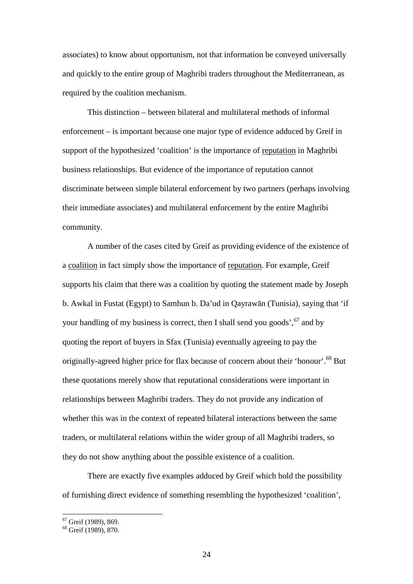associates) to know about opportunism, not that information be conveyed universally and quickly to the entire group of Maghribi traders throughout the Mediterranean, as required by the coalition mechanism.

This distinction – between bilateral and multilateral methods of informal enforcement – is important because one major type of evidence adduced by Greif in support of the hypothesized 'coalition' is the importance of reputation in Maghribi business relationships. But evidence of the importance of reputation cannot discriminate between simple bilateral enforcement by two partners (perhaps involving their immediate associates) and multilateral enforcement by the entire Maghribi community.

A number of the cases cited by Greif as providing evidence of the existence of a coalition in fact simply show the importance of reputation. For example, Greif supports his claim that there was a coalition by quoting the statement made by Joseph b. Awkal in Fustat (Egypt) to Samhun b. Da'ud in Qayrawān (Tunisia), saying that 'if your handling of my business is correct, then I shall send you goods', $67$  and by quoting the report of buyers in Sfax (Tunisia) eventually agreeing to pay the originally-agreed higher price for flax because of concern about their 'honour'.<sup>68</sup> But these quotations merely show that reputational considerations were important in relationships between Maghribi traders. They do not provide any indication of whether this was in the context of repeated bilateral interactions between the same traders, or multilateral relations within the wider group of all Maghribi traders, so they do not show anything about the possible existence of a coalition.

There are exactly five examples adduced by Greif which hold the possibility of furnishing direct evidence of something resembling the hypothesized 'coalition',

<sup>67</sup> Greif (1989), 869.

<sup>68</sup> Greif (1989), 870.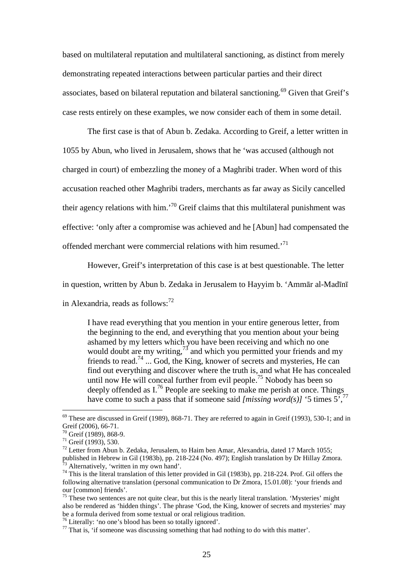based on multilateral reputation and multilateral sanctioning, as distinct from merely demonstrating repeated interactions between particular parties and their direct associates, based on bilateral reputation and bilateral sanctioning.<sup>69</sup> Given that Greif's case rests entirely on these examples, we now consider each of them in some detail.

The first case is that of Abun b. Zedaka. According to Greif, a letter written in 1055 by Abun, who lived in Jerusalem, shows that he 'was accused (although not charged in court) of embezzling the money of a Maghribi trader. When word of this accusation reached other Maghribi traders, merchants as far away as Sicily cancelled their agency relations with him.<sup>'70</sup> Greif claims that this multilateral punishment was effective: 'only after a compromise was achieved and he [Abun] had compensated the offended merchant were commercial relations with him resumed.<sup>71</sup>

However, Greif's interpretation of this case is at best questionable. The letter

in question, written by Abun b. Zedaka in Jerusalem to Hayyim b. 'Ammār al-Madīnī

in Alexandria, reads as follows: $72$ 

I have read everything that you mention in your entire generous letter, from the beginning to the end, and everything that you mention about your being ashamed by my letters which you have been receiving and which no one would doubt are my writing,  $^{73}$  and which you permitted your friends and my friends to read.<sup>74</sup> ... God, the King, knower of secrets and mysteries. He can find out everything and discover where the truth is, and what He has concealed until now He will conceal further from evil people.<sup>75</sup> Nobody has been so deeply offended as  $I^{76}$  People are seeking to make me perish at once. Things have come to such a pass that if someone said *[missing word(s)]* '5 times  $5^{\frac{7}{7}}$ 

 $\overline{a}$ 

<sup>76</sup> Literally: 'no one's blood has been so totally ignored'.

 $69$  These are discussed in Greif (1989), 868-71. They are referred to again in Greif (1993), 530-1; and in Greif (2006), 66-71.

<sup>70</sup> Greif (1989), 868-9.

<sup>71</sup> Greif (1993), 530.

 $72$  Letter from Abun b. Zedaka, Jerusalem, to Haim ben Amar, Alexandria, dated 17 March 1055; published in Hebrew in Gil (1983b), pp. 218-224 (No. 497); English translation by Dr Hillay Zmora. Alternatively, 'written in my own hand'.

<sup>74</sup> This is the literal translation of this letter provided in Gil (1983b), pp. 218-224. Prof. Gil offers the following alternative translation (personal communication to Dr Zmora, 15.01.08): 'your friends and our [common] friends'.

 $75$  These two sentences are not quite clear, but this is the nearly literal translation. 'Mysteries' might also be rendered as 'hidden things'. The phrase 'God, the King, knower of secrets and mysteries' may be a formula derived from some textual or oral religious tradition.

<sup>&</sup>lt;sup>77</sup> That is, 'if someone was discussing something that had nothing to do with this matter'.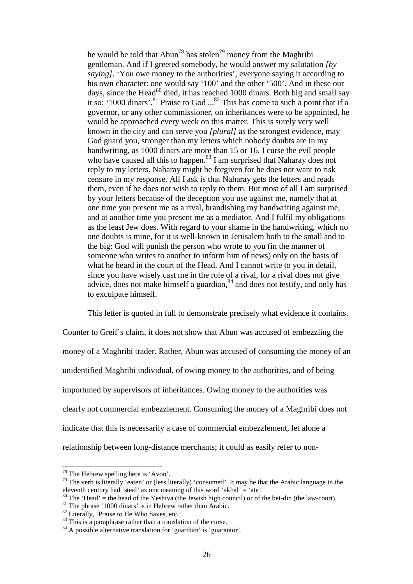he would be told that  $Abun^{78}$  has stolen<sup>79</sup> money from the Maghribi gentleman. And if I greeted somebody, he would answer my salutation *[by saying]*, 'You owe money to the authorities', everyone saying it according to his own character: one would say '100' and the other '500'. And in these our days, since the Head $^{80}$  died, it has reached 1000 dinars. Both big and small say it so: '1000 dinars'.<sup>81</sup> Praise to God  $\ldots$ <sup>82</sup> This has come to such a point that if a governor, or any other commissioner, on inheritances were to be appointed, he would be approached every week on this matter. This is surely very well known in the city and can serve you *[plural]* as the strongest evidence, may God guard you, stronger than my letters which nobody doubts are in my handwriting, as 1000 dinars are more than 15 or 16. I curse the evil people who have caused all this to happen.<sup>83</sup> I am surprised that Naharay does not reply to my letters. Naharay might be forgiven for he does not want to risk censure in my response. All I ask is that Naharay gets the letters and reads them, even if he does not wish to reply to them. But most of all I am surprised by your letters because of the deception you use against me, namely that at one time you present me as a rival, brandishing my handwriting against me, and at another time you present me as a mediator. And I fulfil my obligations as the least Jew does. With regard to your shame in the handwriting, which no one doubts is mine, for it is well-known in Jerusalem both to the small and to the big: God will punish the person who wrote to you (in the manner of someone who writes to another to inform him of news) only on the basis of what he heard in the court of the Head. And I cannot write to you in detail, since you have wisely cast me in the role of a rival, for a rival does not give advice, does not make himself a guardian, $84$  and does not testify, and only has to exculpate himself.

This letter is quoted in full to demonstrate precisely what evidence it contains.

Counter to Greif's claim, it does not show that Abun was accused of embezzling the money of a Maghribi trader. Rather, Abun was accused of consuming the money of an unidentified Maghribi individual, of owing money to the authorities, and of being importuned by supervisors of inheritances. Owing money to the authorities was clearly not commercial embezzlement. Consuming the money of a Maghribi does not indicate that this is necessarily a case of commercial embezzlement, let alone a relationship between long-distance merchants; it could as easily refer to non-

 $78$  The Hebrew spelling here is 'Avon'.

<sup>&</sup>lt;sup>79</sup> The verb is literally 'eaten' or (less literally) 'consumed'. It may be that the Arabic language in the eleventh century had 'steal' as one meaning of this word 'akhal'  $=$  'ate'.

 $80$  The 'Head' = the head of the Yeshiva (the Jewish high council) or of the bet-din (the law-court).

 $81$  The phrase '1000 dinars' is in Hebrew rather than Arabic.

<sup>&</sup>lt;sup>82</sup> Literally, 'Praise to He Who Saves, etc.'.

<sup>&</sup>lt;sup>83</sup> This is a paraphrase rather than a translation of the curse.

<sup>&</sup>lt;sup>84</sup> A possible alternative translation for 'guardian' is 'guarantor'.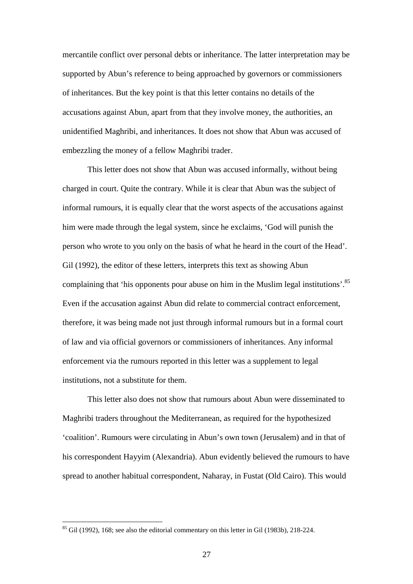mercantile conflict over personal debts or inheritance. The latter interpretation may be supported by Abun's reference to being approached by governors or commissioners of inheritances. But the key point is that this letter contains no details of the accusations against Abun, apart from that they involve money, the authorities, an unidentified Maghribi, and inheritances. It does not show that Abun was accused of embezzling the money of a fellow Maghribi trader.

This letter does not show that Abun was accused informally, without being charged in court. Quite the contrary. While it is clear that Abun was the subject of informal rumours, it is equally clear that the worst aspects of the accusations against him were made through the legal system, since he exclaims, 'God will punish the person who wrote to you only on the basis of what he heard in the court of the Head'. Gil (1992), the editor of these letters, interprets this text as showing Abun complaining that 'his opponents pour abuse on him in the Muslim legal institutions'.<sup>85</sup> Even if the accusation against Abun did relate to commercial contract enforcement, therefore, it was being made not just through informal rumours but in a formal court of law and via official governors or commissioners of inheritances. Any informal enforcement via the rumours reported in this letter was a supplement to legal institutions, not a substitute for them.

This letter also does not show that rumours about Abun were disseminated to Maghribi traders throughout the Mediterranean, as required for the hypothesized 'coalition'. Rumours were circulating in Abun's own town (Jerusalem) and in that of his correspondent Hayyim (Alexandria). Abun evidently believed the rumours to have spread to another habitual correspondent, Naharay, in Fustat (Old Cairo). This would

 $85$  Gil (1992), 168; see also the editorial commentary on this letter in Gil (1983b), 218-224.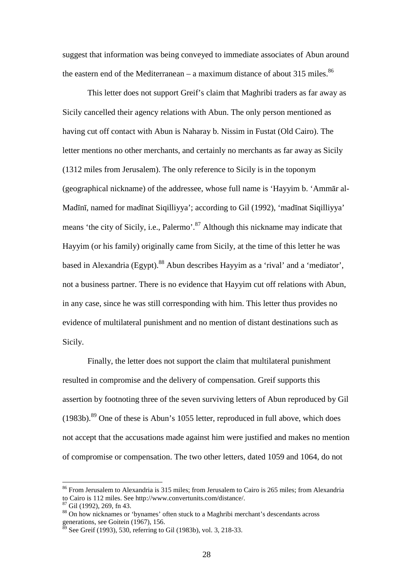suggest that information was being conveyed to immediate associates of Abun around the eastern end of the Mediterranean – a maximum distance of about 315 miles.<sup>86</sup>

This letter does not support Greif's claim that Maghribi traders as far away as Sicily cancelled their agency relations with Abun. The only person mentioned as having cut off contact with Abun is Naharay b. Nissim in Fustat (Old Cairo). The letter mentions no other merchants, and certainly no merchants as far away as Sicily (1312 miles from Jerusalem). The only reference to Sicily is in the toponym (geographical nickname) of the addressee, whose full name is 'Hayyim b. 'Ammār al-Madīnī, named for madīnat Siqilliyya'; according to Gil (1992), 'madīnat Siqilliyya' means 'the city of Sicily, i.e., Palermo'.<sup>87</sup> Although this nickname may indicate that Hayyim (or his family) originally came from Sicily, at the time of this letter he was based in Alexandria (Egypt).<sup>88</sup> Abun describes Hayyim as a 'rival' and a 'mediator', not a business partner. There is no evidence that Hayyim cut off relations with Abun, in any case, since he was still corresponding with him. This letter thus provides no evidence of multilateral punishment and no mention of distant destinations such as Sicily.

Finally, the letter does not support the claim that multilateral punishment resulted in compromise and the delivery of compensation. Greif supports this assertion by footnoting three of the seven surviving letters of Abun reproduced by Gil  $(1983b)$ .<sup>89</sup> One of these is Abun's 1055 letter, reproduced in full above, which does not accept that the accusations made against him were justified and makes no mention of compromise or compensation. The two other letters, dated 1059 and 1064, do not

<sup>&</sup>lt;sup>86</sup> From Jerusalem to Alexandria is 315 miles; from Jerusalem to Cairo is 265 miles; from Alexandria to Cairo is 112 miles. See http://www.convertunits.com/distance/.

<sup>87</sup> Gil (1992), 269, fn 43.

<sup>88</sup> On how nicknames or 'bynames' often stuck to a Maghribi merchant's descendants across generations, see Goitein (1967), 156.

See Greif (1993), 530, referring to Gil (1983b), vol. 3, 218-33.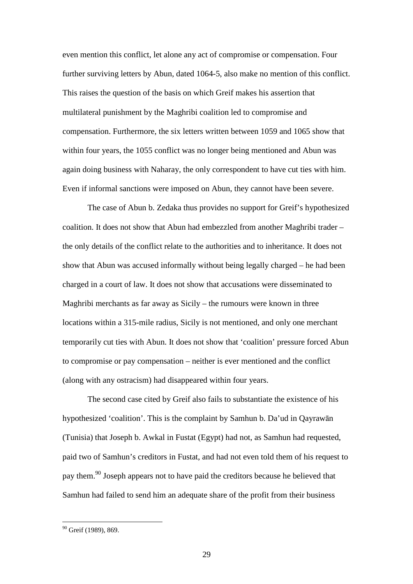even mention this conflict, let alone any act of compromise or compensation. Four further surviving letters by Abun, dated 1064-5, also make no mention of this conflict. This raises the question of the basis on which Greif makes his assertion that multilateral punishment by the Maghribi coalition led to compromise and compensation. Furthermore, the six letters written between 1059 and 1065 show that within four years, the 1055 conflict was no longer being mentioned and Abun was again doing business with Naharay, the only correspondent to have cut ties with him. Even if informal sanctions were imposed on Abun, they cannot have been severe.

The case of Abun b. Zedaka thus provides no support for Greif's hypothesized coalition. It does not show that Abun had embezzled from another Maghribi trader – the only details of the conflict relate to the authorities and to inheritance. It does not show that Abun was accused informally without being legally charged – he had been charged in a court of law. It does not show that accusations were disseminated to Maghribi merchants as far away as Sicily – the rumours were known in three locations within a 315-mile radius, Sicily is not mentioned, and only one merchant temporarily cut ties with Abun. It does not show that 'coalition' pressure forced Abun to compromise or pay compensation – neither is ever mentioned and the conflict (along with any ostracism) had disappeared within four years.

The second case cited by Greif also fails to substantiate the existence of his hypothesized 'coalition'. This is the complaint by Samhun b. Da'ud in Qayrawān (Tunisia) that Joseph b. Awkal in Fustat (Egypt) had not, as Samhun had requested, paid two of Samhun's creditors in Fustat, and had not even told them of his request to pay them.<sup>90</sup> Joseph appears not to have paid the creditors because he believed that Samhun had failed to send him an adequate share of the profit from their business

<sup>&</sup>lt;sup>90</sup> Greif (1989), 869.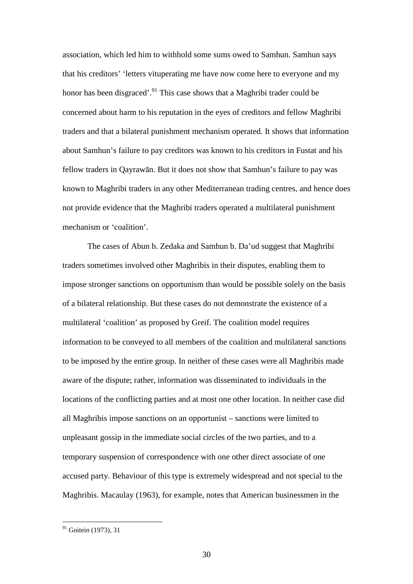association, which led him to withhold some sums owed to Samhun. Samhun says that his creditors' 'letters vituperating me have now come here to everyone and my honor has been disgraced'.<sup>91</sup> This case shows that a Maghribi trader could be concerned about harm to his reputation in the eyes of creditors and fellow Maghribi traders and that a bilateral punishment mechanism operated. It shows that information about Samhun's failure to pay creditors was known to his creditors in Fustat and his fellow traders in Qayrawān. But it does not show that Samhun's failure to pay was known to Maghribi traders in any other Mediterranean trading centres, and hence does not provide evidence that the Maghribi traders operated a multilateral punishment mechanism or 'coalition'.

The cases of Abun b. Zedaka and Samhun b. Da'ud suggest that Maghribi traders sometimes involved other Maghribis in their disputes, enabling them to impose stronger sanctions on opportunism than would be possible solely on the basis of a bilateral relationship. But these cases do not demonstrate the existence of a multilateral 'coalition' as proposed by Greif. The coalition model requires information to be conveyed to all members of the coalition and multilateral sanctions to be imposed by the entire group. In neither of these cases were all Maghribis made aware of the dispute; rather, information was disseminated to individuals in the locations of the conflicting parties and at most one other location. In neither case did all Maghribis impose sanctions on an opportunist – sanctions were limited to unpleasant gossip in the immediate social circles of the two parties, and to a temporary suspension of correspondence with one other direct associate of one accused party. Behaviour of this type is extremely widespread and not special to the Maghribis. Macaulay (1963), for example, notes that American businessmen in the

 $91$  Goitein (1973), 31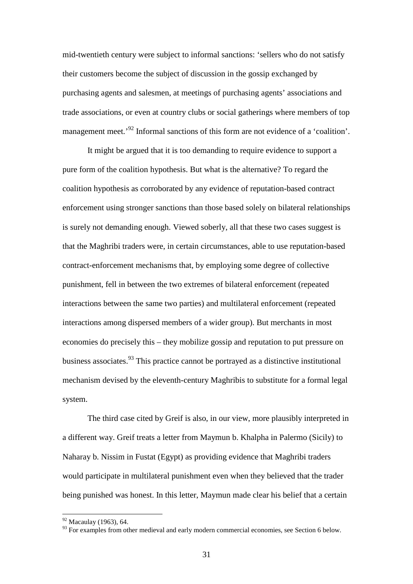mid-twentieth century were subject to informal sanctions: 'sellers who do not satisfy their customers become the subject of discussion in the gossip exchanged by purchasing agents and salesmen, at meetings of purchasing agents' associations and trade associations, or even at country clubs or social gatherings where members of top management meet.<sup>'92</sup> Informal sanctions of this form are not evidence of a 'coalition'.

It might be argued that it is too demanding to require evidence to support a pure form of the coalition hypothesis. But what is the alternative? To regard the coalition hypothesis as corroborated by any evidence of reputation-based contract enforcement using stronger sanctions than those based solely on bilateral relationships is surely not demanding enough. Viewed soberly, all that these two cases suggest is that the Maghribi traders were, in certain circumstances, able to use reputation-based contract-enforcement mechanisms that, by employing some degree of collective punishment, fell in between the two extremes of bilateral enforcement (repeated interactions between the same two parties) and multilateral enforcement (repeated interactions among dispersed members of a wider group). But merchants in most economies do precisely this – they mobilize gossip and reputation to put pressure on business associates.<sup>93</sup> This practice cannot be portrayed as a distinctive institutional mechanism devised by the eleventh-century Maghribis to substitute for a formal legal system.

The third case cited by Greif is also, in our view, more plausibly interpreted in a different way. Greif treats a letter from Maymun b. Khalpha in Palermo (Sicily) to Naharay b. Nissim in Fustat (Egypt) as providing evidence that Maghribi traders would participate in multilateral punishment even when they believed that the trader being punished was honest. In this letter, Maymun made clear his belief that a certain

 $92$  Macaulay (1963), 64.

<sup>&</sup>lt;sup>93</sup> For examples from other medieval and early modern commercial economies, see Section 6 below.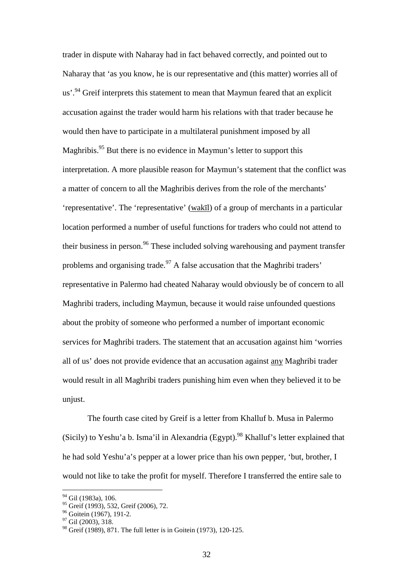trader in dispute with Naharay had in fact behaved correctly, and pointed out to Naharay that 'as you know, he is our representative and (this matter) worries all of us'.<sup>94</sup> Greif interprets this statement to mean that Maymun feared that an explicit accusation against the trader would harm his relations with that trader because he would then have to participate in a multilateral punishment imposed by all Maghribis.<sup>95</sup> But there is no evidence in Maymun's letter to support this interpretation. A more plausible reason for Maymun's statement that the conflict was a matter of concern to all the Maghribis derives from the role of the merchants' 'representative'. The 'representative' (wakīl) of a group of merchants in a particular location performed a number of useful functions for traders who could not attend to their business in person.<sup>96</sup> These included solving warehousing and payment transfer problems and organising trade.<sup>97</sup> A false accusation that the Maghribi traders' representative in Palermo had cheated Naharay would obviously be of concern to all Maghribi traders, including Maymun, because it would raise unfounded questions about the probity of someone who performed a number of important economic services for Maghribi traders. The statement that an accusation against him 'worries all of us' does not provide evidence that an accusation against any Maghribi trader would result in all Maghribi traders punishing him even when they believed it to be unjust.

The fourth case cited by Greif is a letter from Khalluf b. Musa in Palermo (Sicily) to Yeshu'a b. Isma'il in Alexandria (Egypt).<sup>98</sup> Khalluf's letter explained that he had sold Yeshu'a's pepper at a lower price than his own pepper, 'but, brother, I would not like to take the profit for myself. Therefore I transferred the entire sale to

<sup>&</sup>lt;sup>94</sup> Gil (1983a), 106.

<sup>&</sup>lt;sup>95</sup> Greif (1993), 532, Greif (2006), 72.

<sup>&</sup>lt;sup>96</sup> Goitein (1967), 191-2.

<sup>&</sup>lt;sup>97</sup> Gil (2003), 318.

<sup>98</sup> Greif (1989), 871. The full letter is in Goitein (1973), 120-125.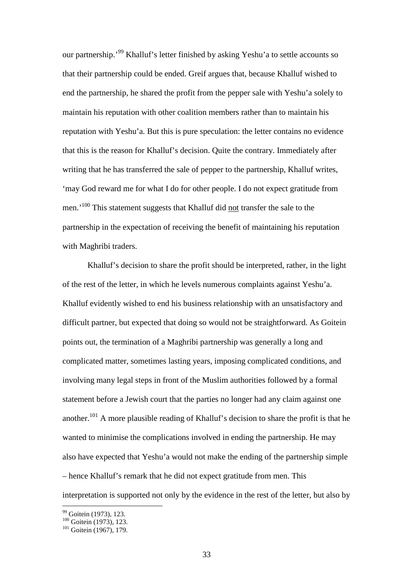our partnership.'<sup>99</sup> Khalluf's letter finished by asking Yeshu'a to settle accounts so that their partnership could be ended. Greif argues that, because Khalluf wished to end the partnership, he shared the profit from the pepper sale with Yeshu'a solely to maintain his reputation with other coalition members rather than to maintain his reputation with Yeshu'a. But this is pure speculation: the letter contains no evidence that this is the reason for Khalluf's decision. Quite the contrary. Immediately after writing that he has transferred the sale of pepper to the partnership, Khalluf writes, 'may God reward me for what I do for other people. I do not expect gratitude from men.<sup>'100</sup> This statement suggests that Khalluf did not transfer the sale to the partnership in the expectation of receiving the benefit of maintaining his reputation with Maghribi traders.

Khalluf's decision to share the profit should be interpreted, rather, in the light of the rest of the letter, in which he levels numerous complaints against Yeshu'a. Khalluf evidently wished to end his business relationship with an unsatisfactory and difficult partner, but expected that doing so would not be straightforward. As Goitein points out, the termination of a Maghribi partnership was generally a long and complicated matter, sometimes lasting years, imposing complicated conditions, and involving many legal steps in front of the Muslim authorities followed by a formal statement before a Jewish court that the parties no longer had any claim against one another.<sup>101</sup> A more plausible reading of Khalluf's decision to share the profit is that he wanted to minimise the complications involved in ending the partnership. He may also have expected that Yeshu'a would not make the ending of the partnership simple – hence Khalluf's remark that he did not expect gratitude from men. This interpretation is supported not only by the evidence in the rest of the letter, but also by

<sup>&</sup>lt;sup>99</sup> Goitein (1973), 123.

 $100$  Goitein (1973), 123.

 $101$  Goitein (1967), 179.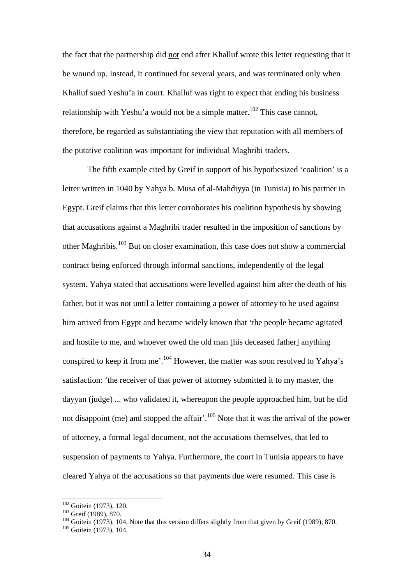the fact that the partnership did not end after Khalluf wrote this letter requesting that it be wound up. Instead, it continued for several years, and was terminated only when Khalluf sued Yeshu'a in court. Khalluf was right to expect that ending his business relationship with Yeshu'a would not be a simple matter.<sup>102</sup> This case cannot, therefore, be regarded as substantiating the view that reputation with all members of the putative coalition was important for individual Maghribi traders.

The fifth example cited by Greif in support of his hypothesized 'coalition' is a letter written in 1040 by Yahya b. Musa of al-Mahdiyya (in Tunisia) to his partner in Egypt. Greif claims that this letter corroborates his coalition hypothesis by showing that accusations against a Maghribi trader resulted in the imposition of sanctions by other Maghribis.<sup>103</sup> But on closer examination, this case does not show a commercial contract being enforced through informal sanctions, independently of the legal system. Yahya stated that accusations were levelled against him after the death of his father, but it was not until a letter containing a power of attorney to be used against him arrived from Egypt and became widely known that 'the people became agitated and hostile to me, and whoever owed the old man [his deceased father] anything conspired to keep it from me'.<sup>104</sup> However, the matter was soon resolved to Yahya's satisfaction: 'the receiver of that power of attorney submitted it to my master, the dayyan (judge) ... who validated it, whereupon the people approached him, but he did not disappoint (me) and stopped the affair'.<sup>105</sup> Note that it was the arrival of the power of attorney, a formal legal document, not the accusations themselves, that led to suspension of payments to Yahya. Furthermore, the court in Tunisia appears to have cleared Yahya of the accusations so that payments due were resumed. This case is

 $102$  Goitein (1973), 120.

<sup>103</sup> Greif (1989), 870.

 $104$  Goitein (1973), 104. Note that this version differs slightly from that given by Greif (1989), 870.

<sup>&</sup>lt;sup>105</sup> Goitein (1973), 104.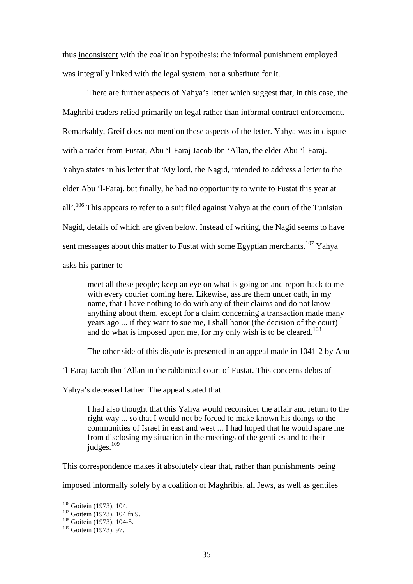thus inconsistent with the coalition hypothesis: the informal punishment employed was integrally linked with the legal system, not a substitute for it.

There are further aspects of Yahya's letter which suggest that, in this case, the Maghribi traders relied primarily on legal rather than informal contract enforcement. Remarkably, Greif does not mention these aspects of the letter. Yahya was in dispute with a trader from Fustat, Abu 'l-Faraj Jacob Ibn 'Allan, the elder Abu 'l-Faraj. Yahya states in his letter that 'My lord, the Nagid, intended to address a letter to the elder Abu 'l-Faraj, but finally, he had no opportunity to write to Fustat this year at all'.<sup>106</sup> This appears to refer to a suit filed against Yahya at the court of the Tunisian Nagid, details of which are given below. Instead of writing, the Nagid seems to have sent messages about this matter to Fustat with some Egyptian merchants.<sup>107</sup> Yahya asks his partner to

meet all these people; keep an eye on what is going on and report back to me with every courier coming here. Likewise, assure them under oath, in my name, that I have nothing to do with any of their claims and do not know anything about them, except for a claim concerning a transaction made many years ago ... if they want to sue me, I shall honor (the decision of the court) and do what is imposed upon me, for my only wish is to be cleared.<sup>108</sup>

The other side of this dispute is presented in an appeal made in 1041-2 by Abu

'l-Faraj Jacob Ibn 'Allan in the rabbinical court of Fustat. This concerns debts of

Yahya's deceased father. The appeal stated that

I had also thought that this Yahya would reconsider the affair and return to the right way ... so that I would not be forced to make known his doings to the communities of Israel in east and west ... I had hoped that he would spare me from disclosing my situation in the meetings of the gentiles and to their judges.<sup>109</sup>

This correspondence makes it absolutely clear that, rather than punishments being

imposed informally solely by a coalition of Maghribis, all Jews, as well as gentiles

<sup>&</sup>lt;sup>106</sup> Goitein (1973), 104.

<sup>&</sup>lt;sup>107</sup> Goitein (1973), 104 fn 9.

<sup>&</sup>lt;sup>108</sup> Goitein (1973), 104-5.

 $109$  Goitein (1973), 97.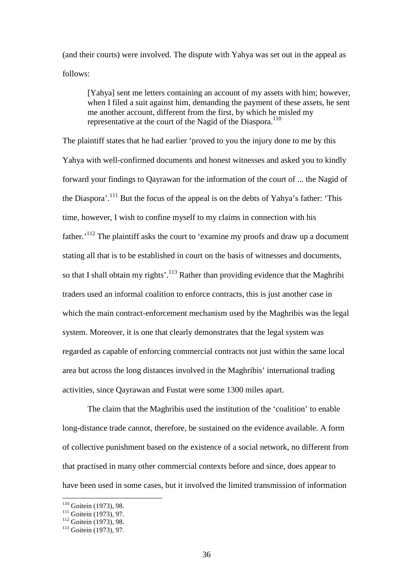(and their courts) were involved. The dispute with Yahya was set out in the appeal as follows:

[Yahya] sent me letters containing an account of my assets with him; however, when I filed a suit against him, demanding the payment of these assets, he sent me another account, different from the first, by which he misled my representative at the court of the Nagid of the Diaspora.<sup>110</sup>

The plaintiff states that he had earlier 'proved to you the injury done to me by this Yahya with well-confirmed documents and honest witnesses and asked you to kindly forward your findings to Qayrawan for the information of the court of ... the Nagid of the Diaspora'.<sup>111</sup> But the focus of the appeal is on the debts of Yahya's father: 'This time, however, I wish to confine myself to my claims in connection with his father.'<sup>112</sup> The plaintiff asks the court to 'examine my proofs and draw up a document stating all that is to be established in court on the basis of witnesses and documents, so that I shall obtain my rights'.<sup>113</sup> Rather than providing evidence that the Maghribi traders used an informal coalition to enforce contracts, this is just another case in which the main contract-enforcement mechanism used by the Maghribis was the legal system. Moreover, it is one that clearly demonstrates that the legal system was regarded as capable of enforcing commercial contracts not just within the same local area but across the long distances involved in the Maghribis' international trading activities, since Qayrawan and Fustat were some 1300 miles apart.

The claim that the Maghribis used the institution of the 'coalition' to enable long-distance trade cannot, therefore, be sustained on the evidence available. A form of collective punishment based on the existence of a social network, no different from that practised in many other commercial contexts before and since, does appear to have been used in some cases, but it involved the limited transmission of information

 $110$  Goitein (1973), 98.

<sup>111</sup> Goitein (1973), 97.

<sup>&</sup>lt;sup>112</sup> Goitein (1973), 98.

<sup>113</sup> Goitein (1973), 97.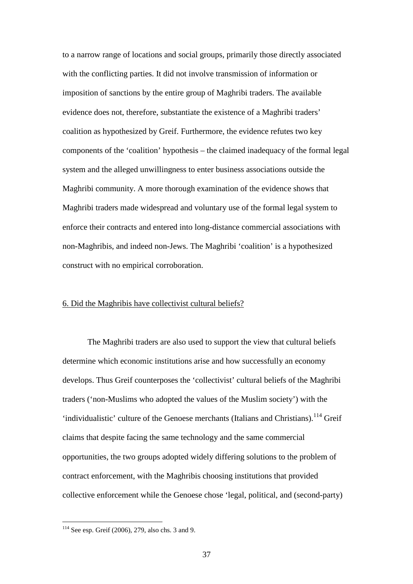to a narrow range of locations and social groups, primarily those directly associated with the conflicting parties. It did not involve transmission of information or imposition of sanctions by the entire group of Maghribi traders. The available evidence does not, therefore, substantiate the existence of a Maghribi traders' coalition as hypothesized by Greif. Furthermore, the evidence refutes two key components of the 'coalition' hypothesis – the claimed inadequacy of the formal legal system and the alleged unwillingness to enter business associations outside the Maghribi community. A more thorough examination of the evidence shows that Maghribi traders made widespread and voluntary use of the formal legal system to enforce their contracts and entered into long-distance commercial associations with non-Maghribis, and indeed non-Jews. The Maghribi 'coalition' is a hypothesized construct with no empirical corroboration.

#### 6. Did the Maghribis have collectivist cultural beliefs?

The Maghribi traders are also used to support the view that cultural beliefs determine which economic institutions arise and how successfully an economy develops. Thus Greif counterposes the 'collectivist' cultural beliefs of the Maghribi traders ('non-Muslims who adopted the values of the Muslim society') with the 'individualistic' culture of the Genoese merchants (Italians and Christians).<sup>114</sup> Greif claims that despite facing the same technology and the same commercial opportunities, the two groups adopted widely differing solutions to the problem of contract enforcement, with the Maghribis choosing institutions that provided collective enforcement while the Genoese chose 'legal, political, and (second-party)

 $114$  See esp. Greif (2006), 279, also chs. 3 and 9.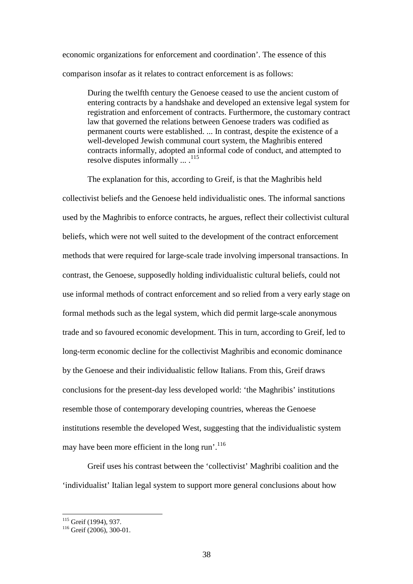economic organizations for enforcement and coordination'. The essence of this comparison insofar as it relates to contract enforcement is as follows:

During the twelfth century the Genoese ceased to use the ancient custom of entering contracts by a handshake and developed an extensive legal system for registration and enforcement of contracts. Furthermore, the customary contract law that governed the relations between Genoese traders was codified as permanent courts were established. ... In contrast, despite the existence of a well-developed Jewish communal court system, the Maghribis entered contracts informally, adopted an informal code of conduct, and attempted to resolve disputes informally  $\dots$ .<sup>115</sup>

The explanation for this, according to Greif, is that the Maghribis held collectivist beliefs and the Genoese held individualistic ones. The informal sanctions used by the Maghribis to enforce contracts, he argues, reflect their collectivist cultural beliefs, which were not well suited to the development of the contract enforcement methods that were required for large-scale trade involving impersonal transactions. In contrast, the Genoese, supposedly holding individualistic cultural beliefs, could not use informal methods of contract enforcement and so relied from a very early stage on formal methods such as the legal system, which did permit large-scale anonymous trade and so favoured economic development. This in turn, according to Greif, led to long-term economic decline for the collectivist Maghribis and economic dominance by the Genoese and their individualistic fellow Italians. From this, Greif draws conclusions for the present-day less developed world: 'the Maghribis' institutions resemble those of contemporary developing countries, whereas the Genoese institutions resemble the developed West, suggesting that the individualistic system may have been more efficient in the long run'.<sup>116</sup>

Greif uses his contrast between the 'collectivist' Maghribi coalition and the 'individualist' Italian legal system to support more general conclusions about how

<sup>&</sup>lt;sup>115</sup> Greif (1994), 937.

<sup>&</sup>lt;sup>116</sup> Greif (2006), 300-01.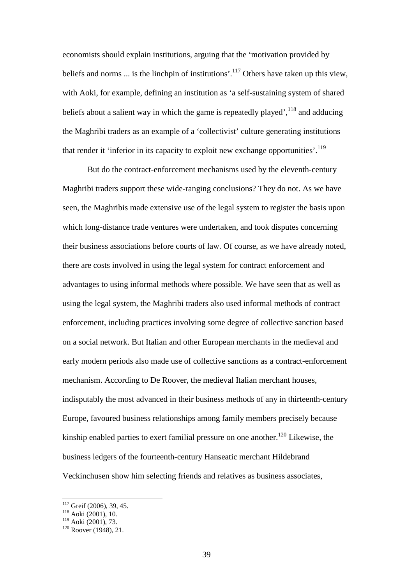economists should explain institutions, arguing that the 'motivation provided by beliefs and norms  $\ldots$  is the linchpin of institutions'.<sup>117</sup> Others have taken up this view. with Aoki, for example, defining an institution as 'a self-sustaining system of shared beliefs about a salient way in which the game is repeatedly played',  $^{118}$  and adducing the Maghribi traders as an example of a 'collectivist' culture generating institutions that render it 'inferior in its capacity to exploit new exchange opportunities'.<sup>119</sup>

But do the contract-enforcement mechanisms used by the eleventh-century Maghribi traders support these wide-ranging conclusions? They do not. As we have seen, the Maghribis made extensive use of the legal system to register the basis upon which long-distance trade ventures were undertaken, and took disputes concerning their business associations before courts of law. Of course, as we have already noted, there are costs involved in using the legal system for contract enforcement and advantages to using informal methods where possible. We have seen that as well as using the legal system, the Maghribi traders also used informal methods of contract enforcement, including practices involving some degree of collective sanction based on a social network. But Italian and other European merchants in the medieval and early modern periods also made use of collective sanctions as a contract-enforcement mechanism. According to De Roover, the medieval Italian merchant houses, indisputably the most advanced in their business methods of any in thirteenth-century Europe, favoured business relationships among family members precisely because kinship enabled parties to exert familial pressure on one another.<sup>120</sup> Likewise, the business ledgers of the fourteenth-century Hanseatic merchant Hildebrand Veckinchusen show him selecting friends and relatives as business associates,

 $117$  Greif (2006), 39, 45.

<sup>118</sup> Aoki (2001), 10.

<sup>119</sup> Aoki (2001), 73.

 $120$  Roover (1948), 21.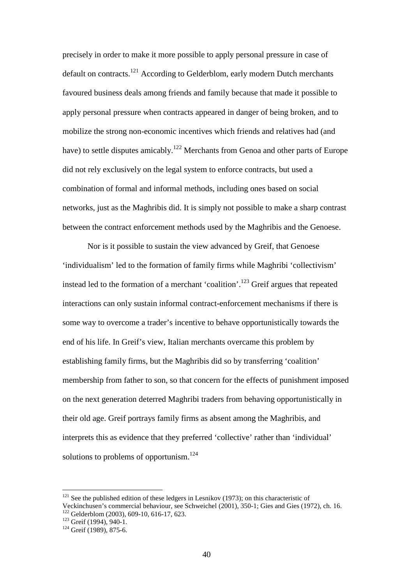precisely in order to make it more possible to apply personal pressure in case of default on contracts.<sup>121</sup> According to Gelderblom, early modern Dutch merchants favoured business deals among friends and family because that made it possible to apply personal pressure when contracts appeared in danger of being broken, and to mobilize the strong non-economic incentives which friends and relatives had (and have) to settle disputes amicably.<sup>122</sup> Merchants from Genoa and other parts of Europe did not rely exclusively on the legal system to enforce contracts, but used a combination of formal and informal methods, including ones based on social networks, just as the Maghribis did. It is simply not possible to make a sharp contrast between the contract enforcement methods used by the Maghribis and the Genoese.

Nor is it possible to sustain the view advanced by Greif, that Genoese 'individualism' led to the formation of family firms while Maghribi 'collectivism' instead led to the formation of a merchant 'coalition'.<sup>123</sup> Greif argues that repeated interactions can only sustain informal contract-enforcement mechanisms if there is some way to overcome a trader's incentive to behave opportunistically towards the end of his life. In Greif's view, Italian merchants overcame this problem by establishing family firms, but the Maghribis did so by transferring 'coalition' membership from father to son, so that concern for the effects of punishment imposed on the next generation deterred Maghribi traders from behaving opportunistically in their old age. Greif portrays family firms as absent among the Maghribis, and interprets this as evidence that they preferred 'collective' rather than 'individual' solutions to problems of opportunism. $124$ 

 $121$  See the published edition of these ledgers in Lesnikov (1973); on this characteristic of Veckinchusen's commercial behaviour, see Schweichel (2001), 350-1; Gies and Gies (1972), ch. 16. <sup>122</sup> Gelderblom (2003), 609-10, 616-17, 623.

 $123$  Greif (1994), 940-1.

 $124$  Greif (1989), 875-6.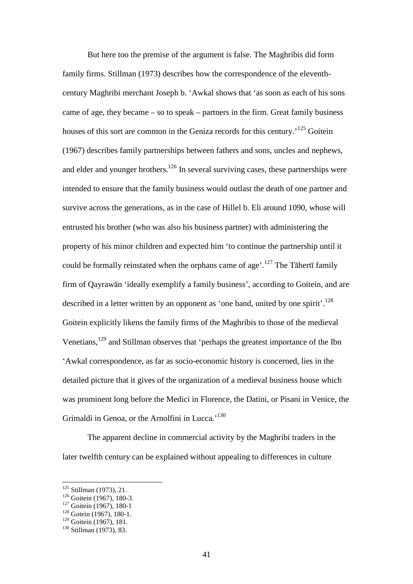But here too the premise of the argument is false. The Maghribis did form family firms. Stillman (1973) describes how the correspondence of the eleventhcentury Maghribi merchant Joseph b. 'Awkal shows that 'as soon as each of his sons came of age, they became – so to speak – partners in the firm. Great family business houses of this sort are common in the Geniza records for this century.<sup>125</sup> Goitein (1967) describes family partnerships between fathers and sons, uncles and nephews, and elder and younger brothers.<sup>126</sup> In several surviving cases, these partnerships were intended to ensure that the family business would outlast the death of one partner and survive across the generations, as in the case of Hillel b. Eli around 1090, whose will entrusted his brother (who was also his business partner) with administering the property of his minor children and expected him 'to continue the partnership until it could be formally reinstated when the orphans came of age'.<sup>127</sup> The Tāhertī family firm of Qayrawān 'ideally exemplify a family business', according to Goitein, and are described in a letter written by an opponent as 'one band, united by one spirit'.<sup>128</sup> Goitein explicitly likens the family firms of the Maghribis to those of the medieval Venetians,<sup>129</sup> and Stillman observes that 'perhaps the greatest importance of the Ibn 'Awkal correspondence, as far as socio-economic history is concerned, lies in the detailed picture that it gives of the organization of a medieval business house which was prominent long before the Medici in Florence, the Datini, or Pisani in Venice, the Grimaldi in Genoa, or the Arnolfini in Lucca.<sup>'130</sup>

The apparent decline in commercial activity by the Maghribi traders in the later twelfth century can be explained without appealing to differences in culture

 $125$  Stillman (1973), 21.

 $126$  Goitein (1967), 180-3.

<sup>&</sup>lt;sup>127</sup> Goitein (1967), 180-1

<sup>&</sup>lt;sup>128</sup> Gotein (1967), 180-1.

 $129$  Goitein (1967), 181.

<sup>&</sup>lt;sup>130</sup> Stillman (1973), 83.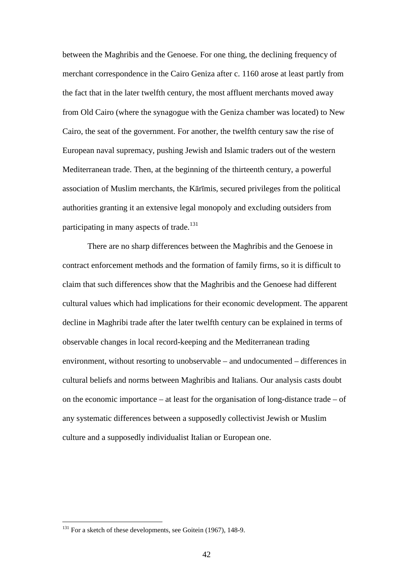between the Maghribis and the Genoese. For one thing, the declining frequency of merchant correspondence in the Cairo Geniza after c. 1160 arose at least partly from the fact that in the later twelfth century, the most affluent merchants moved away from Old Cairo (where the synagogue with the Geniza chamber was located) to New Cairo, the seat of the government. For another, the twelfth century saw the rise of European naval supremacy, pushing Jewish and Islamic traders out of the western Mediterranean trade. Then, at the beginning of the thirteenth century, a powerful association of Muslim merchants, the Kārīmis, secured privileges from the political authorities granting it an extensive legal monopoly and excluding outsiders from participating in many aspects of trade.<sup>131</sup>

There are no sharp differences between the Maghribis and the Genoese in contract enforcement methods and the formation of family firms, so it is difficult to claim that such differences show that the Maghribis and the Genoese had different cultural values which had implications for their economic development. The apparent decline in Maghribi trade after the later twelfth century can be explained in terms of observable changes in local record-keeping and the Mediterranean trading environment, without resorting to unobservable – and undocumented – differences in cultural beliefs and norms between Maghribis and Italians. Our analysis casts doubt on the economic importance – at least for the organisation of long-distance trade – of any systematic differences between a supposedly collectivist Jewish or Muslim culture and a supposedly individualist Italian or European one.

<sup>&</sup>lt;sup>131</sup> For a sketch of these developments, see Goitein (1967), 148-9.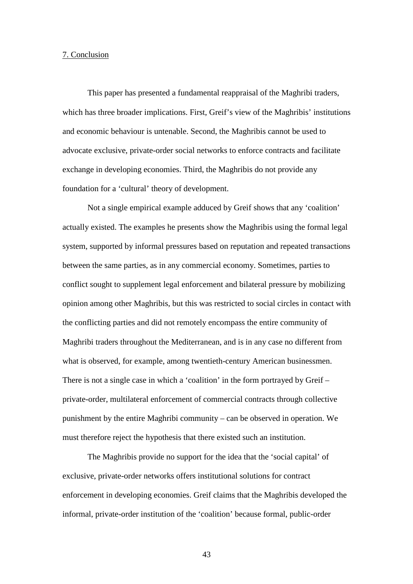#### 7. Conclusion

This paper has presented a fundamental reappraisal of the Maghribi traders, which has three broader implications. First, Greif's view of the Maghribis' institutions and economic behaviour is untenable. Second, the Maghribis cannot be used to advocate exclusive, private-order social networks to enforce contracts and facilitate exchange in developing economies. Third, the Maghribis do not provide any foundation for a 'cultural' theory of development.

Not a single empirical example adduced by Greif shows that any 'coalition' actually existed. The examples he presents show the Maghribis using the formal legal system, supported by informal pressures based on reputation and repeated transactions between the same parties, as in any commercial economy. Sometimes, parties to conflict sought to supplement legal enforcement and bilateral pressure by mobilizing opinion among other Maghribis, but this was restricted to social circles in contact with the conflicting parties and did not remotely encompass the entire community of Maghribi traders throughout the Mediterranean, and is in any case no different from what is observed, for example, among twentieth-century American businessmen. There is not a single case in which a 'coalition' in the form portrayed by Greif – private-order, multilateral enforcement of commercial contracts through collective punishment by the entire Maghribi community – can be observed in operation. We must therefore reject the hypothesis that there existed such an institution.

The Maghribis provide no support for the idea that the 'social capital' of exclusive, private-order networks offers institutional solutions for contract enforcement in developing economies. Greif claims that the Maghribis developed the informal, private-order institution of the 'coalition' because formal, public-order

43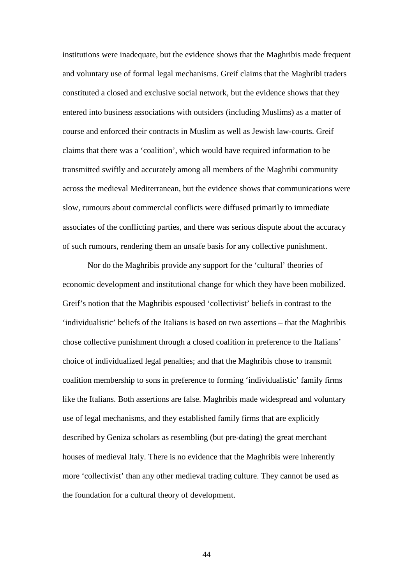institutions were inadequate, but the evidence shows that the Maghribis made frequent and voluntary use of formal legal mechanisms. Greif claims that the Maghribi traders constituted a closed and exclusive social network, but the evidence shows that they entered into business associations with outsiders (including Muslims) as a matter of course and enforced their contracts in Muslim as well as Jewish law-courts. Greif claims that there was a 'coalition', which would have required information to be transmitted swiftly and accurately among all members of the Maghribi community across the medieval Mediterranean, but the evidence shows that communications were slow, rumours about commercial conflicts were diffused primarily to immediate associates of the conflicting parties, and there was serious dispute about the accuracy of such rumours, rendering them an unsafe basis for any collective punishment.

Nor do the Maghribis provide any support for the 'cultural' theories of economic development and institutional change for which they have been mobilized. Greif's notion that the Maghribis espoused 'collectivist' beliefs in contrast to the 'individualistic' beliefs of the Italians is based on two assertions – that the Maghribis chose collective punishment through a closed coalition in preference to the Italians' choice of individualized legal penalties; and that the Maghribis chose to transmit coalition membership to sons in preference to forming 'individualistic' family firms like the Italians. Both assertions are false. Maghribis made widespread and voluntary use of legal mechanisms, and they established family firms that are explicitly described by Geniza scholars as resembling (but pre-dating) the great merchant houses of medieval Italy. There is no evidence that the Maghribis were inherently more 'collectivist' than any other medieval trading culture. They cannot be used as the foundation for a cultural theory of development.

44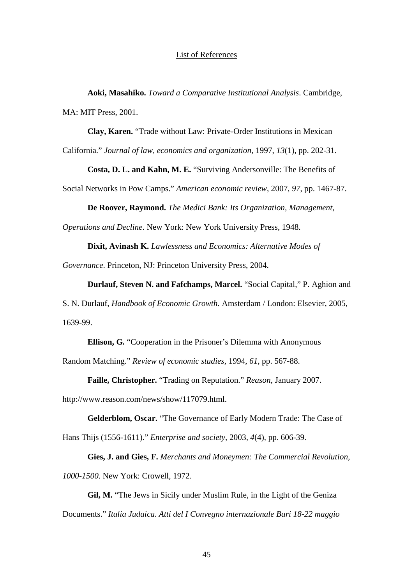#### List of References

**Aoki, Masahiko.** *Toward a Comparative Institutional Analysis*. Cambridge, MA: MIT Press, 2001.

**Clay, Karen.** "Trade without Law: Private-Order Institutions in Mexican

California." *Journal of law, economics and organization*, 1997, *13*(1), pp. 202-31.

**Costa, D. L. and Kahn, M. E.** "Surviving Andersonville: The Benefits of

Social Networks in Pow Camps." *American economic review*, 2007, *97*, pp. 1467-87.

**De Roover, Raymond.** *The Medici Bank: Its Organization, Management,* 

*Operations and Decline*. New York: New York University Press, 1948.

**Dixit, Avinash K.** *Lawlessness and Economics: Alternative Modes of* 

*Governance*. Princeton, NJ: Princeton University Press, 2004.

**Durlauf, Steven N. and Fafchamps, Marcel.** "Social Capital," P. Aghion and

S. N. Durlauf, *Handbook of Economic Growth.* Amsterdam / London: Elsevier, 2005, 1639-99.

**Ellison, G.** "Cooperation in the Prisoner's Dilemma with Anonymous

Random Matching." *Review of economic studies*, 1994, *61*, pp. 567-88.

**Faille, Christopher.** "Trading on Reputation." *Reason*, January 2007.

http://www.reason.com/news/show/117079.html.

**Gelderblom, Oscar.** "The Governance of Early Modern Trade: The Case of Hans Thijs (1556-1611)." *Enterprise and society*, 2003, *4*(4), pp. 606-39.

**Gies, J. and Gies, F.** *Merchants and Moneymen: The Commercial Revolution, 1000-1500*. New York: Crowell, 1972.

**Gil, M.** "The Jews in Sicily under Muslim Rule, in the Light of the Geniza Documents." *Italia Judaica. Atti del I Convegno internazionale Bari 18-22 maggio*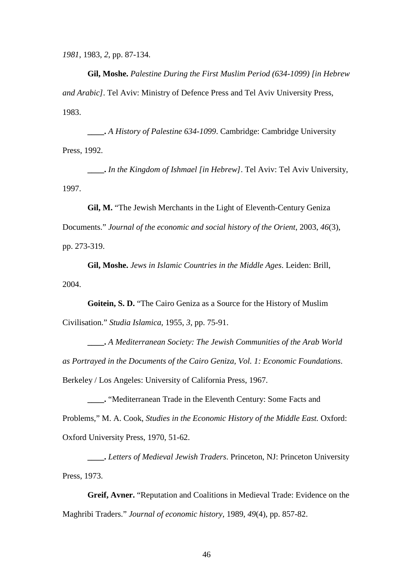*1981*, 1983, *2*, pp. 87-134.

**Gil, Moshe.** *Palestine During the First Muslim Period (634-1099) [in Hebrew and Arabic]*. Tel Aviv: Ministry of Defence Press and Tel Aviv University Press, 1983.

**\_\_\_\_.** *A History of Palestine 634-1099*. Cambridge: Cambridge University Press, 1992.

**\_\_\_\_.** *In the Kingdom of Ishmael [in Hebrew]*. Tel Aviv: Tel Aviv University, 1997.

**Gil, M.** "The Jewish Merchants in the Light of Eleventh-Century Geniza

Documents." *Journal of the economic and social history of the Orient*, 2003, *46*(3), pp. 273-319.

**Gil, Moshe.** *Jews in Islamic Countries in the Middle Ages*. Leiden: Brill, 2004.

**Goitein, S. D.** "The Cairo Geniza as a Source for the History of Muslim Civilisation." *Studia Islamica*, 1955, *3*, pp. 75-91.

**\_\_\_\_.** *A Mediterranean Society: The Jewish Communities of the Arab World as Portrayed in the Documents of the Cairo Geniza, Vol. 1: Economic Foundations*. Berkeley / Los Angeles: University of California Press, 1967.

**\_\_\_\_.** "Mediterranean Trade in the Eleventh Century: Some Facts and Problems," M. A. Cook, *Studies in the Economic History of the Middle East.* Oxford: Oxford University Press, 1970, 51-62.

**\_\_\_\_.** *Letters of Medieval Jewish Traders*. Princeton, NJ: Princeton University Press, 1973.

**Greif, Avner.** "Reputation and Coalitions in Medieval Trade: Evidence on the Maghribi Traders." *Journal of economic history*, 1989, *49*(4), pp. 857-82.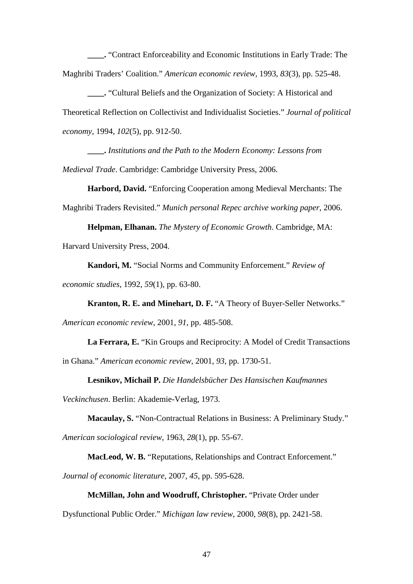**\_\_\_\_.** "Contract Enforceability and Economic Institutions in Early Trade: The Maghribi Traders' Coalition." *American economic review*, 1993, *83*(3), pp. 525-48.

**\_\_\_\_.** "Cultural Beliefs and the Organization of Society: A Historical and Theoretical Reflection on Collectivist and Individualist Societies." *Journal of political economy*, 1994, *102*(5), pp. 912-50.

**\_\_\_\_.** *Institutions and the Path to the Modern Economy: Lessons from Medieval Trade*. Cambridge: Cambridge University Press, 2006.

**Harbord, David.** "Enforcing Cooperation among Medieval Merchants: The Maghribi Traders Revisited." *Munich personal Repec archive working paper*, 2006.

**Helpman, Elhanan.** *The Mystery of Economic Growth*. Cambridge, MA: Harvard University Press, 2004.

**Kandori, M.** "Social Norms and Community Enforcement." *Review of economic studies*, 1992, *59*(1), pp. 63-80.

**Kranton, R. E. and Minehart, D. F.** "A Theory of Buyer-Seller Networks." *American economic review*, 2001, *91*, pp. 485-508.

**La Ferrara, E.** "Kin Groups and Reciprocity: A Model of Credit Transactions in Ghana." *American economic review*, 2001, *93*, pp. 1730-51.

**Lesnikov, Michail P.** *Die Handelsbücher Des Hansischen Kaufmannes* 

*Veckinchusen*. Berlin: Akademie-Verlag, 1973.

**Macaulay, S.** "Non-Contractual Relations in Business: A Preliminary Study."

*American sociological review*, 1963, *28*(1), pp. 55-67.

**MacLeod, W. B.** "Reputations, Relationships and Contract Enforcement."

*Journal of economic literature*, 2007, *45*, pp. 595-628.

#### **McMillan, John and Woodruff, Christopher.** "Private Order under

Dysfunctional Public Order." *Michigan law review*, 2000, *98*(8), pp. 2421-58.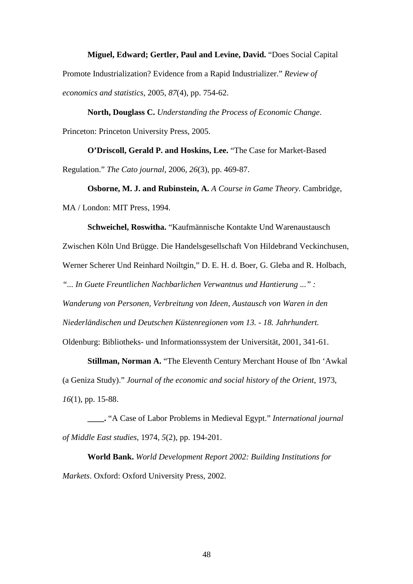#### **Miguel, Edward; Gertler, Paul and Levine, David.** "Does Social Capital

Promote Industrialization? Evidence from a Rapid Industrializer." *Review of economics and statistics*, 2005, *87*(4), pp. 754-62.

**North, Douglass C.** *Understanding the Process of Economic Change*. Princeton: Princeton University Press, 2005.

**O'Driscoll, Gerald P. and Hoskins, Lee.** "The Case for Market-Based Regulation." *The Cato journal*, 2006, *26*(3), pp. 469-87.

**Osborne, M. J. and Rubinstein, A.** *A Course in Game Theory*. Cambridge, MA / London: MIT Press, 1994.

**Schweichel, Roswitha.** "Kaufmännische Kontakte Und Warenaustausch Zwischen Köln Und Brügge. Die Handelsgesellschaft Von Hildebrand Veckinchusen, Werner Scherer Und Reinhard Noiltgin," D. E. H. d. Boer, G. Gleba and R. Holbach, *"... In Guete Freuntlichen Nachbarlichen Verwantnus und Hantierung ..." : Wanderung von Personen, Verbreitung von Ideen, Austausch von Waren in den Niederländischen und Deutschen Küstenregionen vom 13. - 18. Jahrhundert.*  Oldenburg: Bibliotheks- und Informationssystem der Universität, 2001, 341-61.

**Stillman, Norman A.** "The Eleventh Century Merchant House of Ibn 'Awkal (a Geniza Study)." *Journal of the economic and social history of the Orient*, 1973, *16*(1), pp. 15-88.

**\_\_\_\_.** "A Case of Labor Problems in Medieval Egypt." *International journal of Middle East studies*, 1974, *5*(2), pp. 194-201.

**World Bank.** *World Development Report 2002: Building Institutions for Markets*. Oxford: Oxford University Press, 2002.

48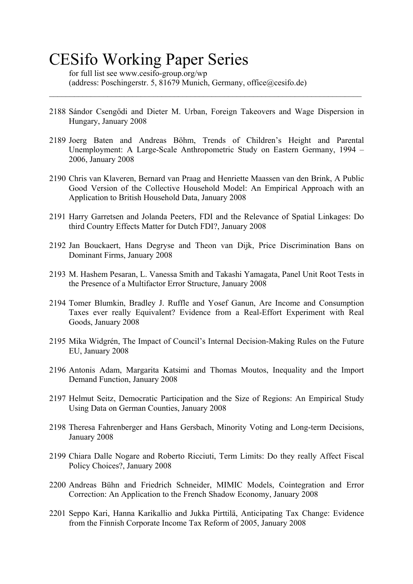## CESifo Working Paper Series

for full list see www.cesifo-group.org/wp (address: Poschingerstr. 5, 81679 Munich, Germany, office@cesifo.de)

2188 Sándor Csengődi and Dieter M. Urban, Foreign Takeovers and Wage Dispersion in Hungary, January 2008

 $\mathcal{L}_\mathcal{L} = \{ \mathcal{L}_\mathcal{L} = \{ \mathcal{L}_\mathcal{L} = \{ \mathcal{L}_\mathcal{L} = \{ \mathcal{L}_\mathcal{L} = \{ \mathcal{L}_\mathcal{L} = \{ \mathcal{L}_\mathcal{L} = \{ \mathcal{L}_\mathcal{L} = \{ \mathcal{L}_\mathcal{L} = \{ \mathcal{L}_\mathcal{L} = \{ \mathcal{L}_\mathcal{L} = \{ \mathcal{L}_\mathcal{L} = \{ \mathcal{L}_\mathcal{L} = \{ \mathcal{L}_\mathcal{L} = \{ \mathcal{L}_\mathcal{$ 

- 2189 Joerg Baten and Andreas Böhm, Trends of Children's Height and Parental Unemployment: A Large-Scale Anthropometric Study on Eastern Germany, 1994 – 2006, January 2008
- 2190 Chris van Klaveren, Bernard van Praag and Henriette Maassen van den Brink, A Public Good Version of the Collective Household Model: An Empirical Approach with an Application to British Household Data, January 2008
- 2191 Harry Garretsen and Jolanda Peeters, FDI and the Relevance of Spatial Linkages: Do third Country Effects Matter for Dutch FDI?, January 2008
- 2192 Jan Bouckaert, Hans Degryse and Theon van Dijk, Price Discrimination Bans on Dominant Firms, January 2008
- 2193 M. Hashem Pesaran, L. Vanessa Smith and Takashi Yamagata, Panel Unit Root Tests in the Presence of a Multifactor Error Structure, January 2008
- 2194 Tomer Blumkin, Bradley J. Ruffle and Yosef Ganun, Are Income and Consumption Taxes ever really Equivalent? Evidence from a Real-Effort Experiment with Real Goods, January 2008
- 2195 Mika Widgrén, The Impact of Council's Internal Decision-Making Rules on the Future EU, January 2008
- 2196 Antonis Adam, Margarita Katsimi and Thomas Moutos, Inequality and the Import Demand Function, January 2008
- 2197 Helmut Seitz, Democratic Participation and the Size of Regions: An Empirical Study Using Data on German Counties, January 2008
- 2198 Theresa Fahrenberger and Hans Gersbach, Minority Voting and Long-term Decisions, January 2008
- 2199 Chiara Dalle Nogare and Roberto Ricciuti, Term Limits: Do they really Affect Fiscal Policy Choices?, January 2008
- 2200 Andreas Bühn and Friedrich Schneider, MIMIC Models, Cointegration and Error Correction: An Application to the French Shadow Economy, January 2008
- 2201 Seppo Kari, Hanna Karikallio and Jukka Pirttilä, Anticipating Tax Change: Evidence from the Finnish Corporate Income Tax Reform of 2005, January 2008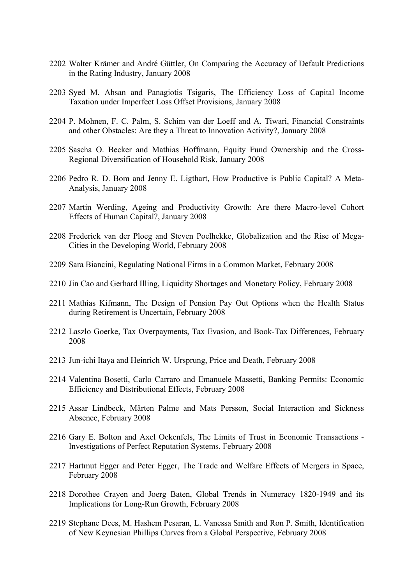- 2202 Walter Krämer and André Güttler, On Comparing the Accuracy of Default Predictions in the Rating Industry, January 2008
- 2203 Syed M. Ahsan and Panagiotis Tsigaris, The Efficiency Loss of Capital Income Taxation under Imperfect Loss Offset Provisions, January 2008
- 2204 P. Mohnen, F. C. Palm, S. Schim van der Loeff and A. Tiwari, Financial Constraints and other Obstacles: Are they a Threat to Innovation Activity?, January 2008
- 2205 Sascha O. Becker and Mathias Hoffmann, Equity Fund Ownership and the Cross-Regional Diversification of Household Risk, January 2008
- 2206 Pedro R. D. Bom and Jenny E. Ligthart, How Productive is Public Capital? A Meta-Analysis, January 2008
- 2207 Martin Werding, Ageing and Productivity Growth: Are there Macro-level Cohort Effects of Human Capital?, January 2008
- 2208 Frederick van der Ploeg and Steven Poelhekke, Globalization and the Rise of Mega-Cities in the Developing World, February 2008
- 2209 Sara Biancini, Regulating National Firms in a Common Market, February 2008
- 2210 Jin Cao and Gerhard Illing, Liquidity Shortages and Monetary Policy, February 2008
- 2211 Mathias Kifmann, The Design of Pension Pay Out Options when the Health Status during Retirement is Uncertain, February 2008
- 2212 Laszlo Goerke, Tax Overpayments, Tax Evasion, and Book-Tax Differences, February 2008
- 2213 Jun-ichi Itaya and Heinrich W. Ursprung, Price and Death, February 2008
- 2214 Valentina Bosetti, Carlo Carraro and Emanuele Massetti, Banking Permits: Economic Efficiency and Distributional Effects, February 2008
- 2215 Assar Lindbeck, Mårten Palme and Mats Persson, Social Interaction and Sickness Absence, February 2008
- 2216 Gary E. Bolton and Axel Ockenfels, The Limits of Trust in Economic Transactions Investigations of Perfect Reputation Systems, February 2008
- 2217 Hartmut Egger and Peter Egger, The Trade and Welfare Effects of Mergers in Space, February 2008
- 2218 Dorothee Crayen and Joerg Baten, Global Trends in Numeracy 1820-1949 and its Implications for Long-Run Growth, February 2008
- 2219 Stephane Dees, M. Hashem Pesaran, L. Vanessa Smith and Ron P. Smith, Identification of New Keynesian Phillips Curves from a Global Perspective, February 2008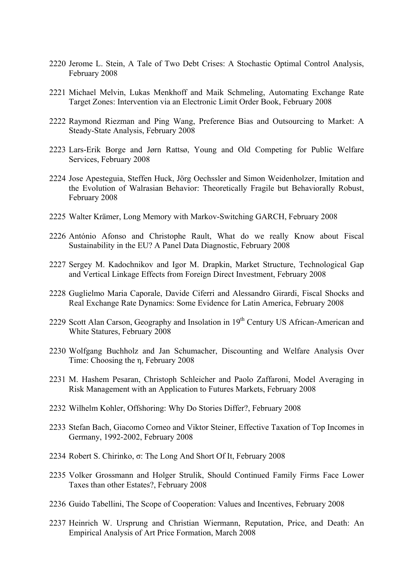- 2220 Jerome L. Stein, A Tale of Two Debt Crises: A Stochastic Optimal Control Analysis, February 2008
- 2221 Michael Melvin, Lukas Menkhoff and Maik Schmeling, Automating Exchange Rate Target Zones: Intervention via an Electronic Limit Order Book, February 2008
- 2222 Raymond Riezman and Ping Wang, Preference Bias and Outsourcing to Market: A Steady-State Analysis, February 2008
- 2223 Lars-Erik Borge and Jørn Rattsø, Young and Old Competing for Public Welfare Services, February 2008
- 2224 Jose Apesteguia, Steffen Huck, Jörg Oechssler and Simon Weidenholzer, Imitation and the Evolution of Walrasian Behavior: Theoretically Fragile but Behaviorally Robust, February 2008
- 2225 Walter Krämer, Long Memory with Markov-Switching GARCH, February 2008
- 2226 António Afonso and Christophe Rault, What do we really Know about Fiscal Sustainability in the EU? A Panel Data Diagnostic, February 2008
- 2227 Sergey M. Kadochnikov and Igor M. Drapkin, Market Structure, Technological Gap and Vertical Linkage Effects from Foreign Direct Investment, February 2008
- 2228 Guglielmo Maria Caporale, Davide Ciferri and Alessandro Girardi, Fiscal Shocks and Real Exchange Rate Dynamics: Some Evidence for Latin America, February 2008
- 2229 Scott Alan Carson, Geography and Insolation in  $19<sup>th</sup>$  Century US African-American and White Statures, February 2008
- 2230 Wolfgang Buchholz and Jan Schumacher, Discounting and Welfare Analysis Over Time: Choosing the η, February 2008
- 2231 M. Hashem Pesaran, Christoph Schleicher and Paolo Zaffaroni, Model Averaging in Risk Management with an Application to Futures Markets, February 2008
- 2232 Wilhelm Kohler, Offshoring: Why Do Stories Differ?, February 2008
- 2233 Stefan Bach, Giacomo Corneo and Viktor Steiner, Effective Taxation of Top Incomes in Germany, 1992-2002, February 2008
- 2234 Robert S. Chirinko, σ: The Long And Short Of It, February 2008
- 2235 Volker Grossmann and Holger Strulik, Should Continued Family Firms Face Lower Taxes than other Estates?, February 2008
- 2236 Guido Tabellini, The Scope of Cooperation: Values and Incentives, February 2008
- 2237 Heinrich W. Ursprung and Christian Wiermann, Reputation, Price, and Death: An Empirical Analysis of Art Price Formation, March 2008